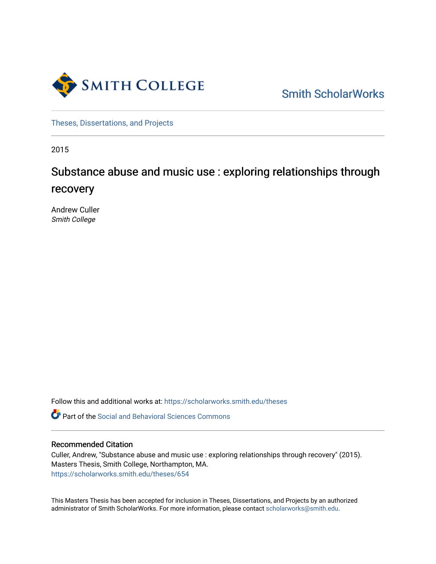

[Smith ScholarWorks](https://scholarworks.smith.edu/) 

[Theses, Dissertations, and Projects](https://scholarworks.smith.edu/theses) 

2015

# Substance abuse and music use : exploring relationships through recovery

Andrew Culler Smith College

Follow this and additional works at: [https://scholarworks.smith.edu/theses](https://scholarworks.smith.edu/theses?utm_source=scholarworks.smith.edu%2Ftheses%2F654&utm_medium=PDF&utm_campaign=PDFCoverPages) 

**C** Part of the Social and Behavioral Sciences Commons

#### Recommended Citation

Culler, Andrew, "Substance abuse and music use : exploring relationships through recovery" (2015). Masters Thesis, Smith College, Northampton, MA. [https://scholarworks.smith.edu/theses/654](https://scholarworks.smith.edu/theses/654?utm_source=scholarworks.smith.edu%2Ftheses%2F654&utm_medium=PDF&utm_campaign=PDFCoverPages) 

This Masters Thesis has been accepted for inclusion in Theses, Dissertations, and Projects by an authorized administrator of Smith ScholarWorks. For more information, please contact [scholarworks@smith.edu](mailto:scholarworks@smith.edu).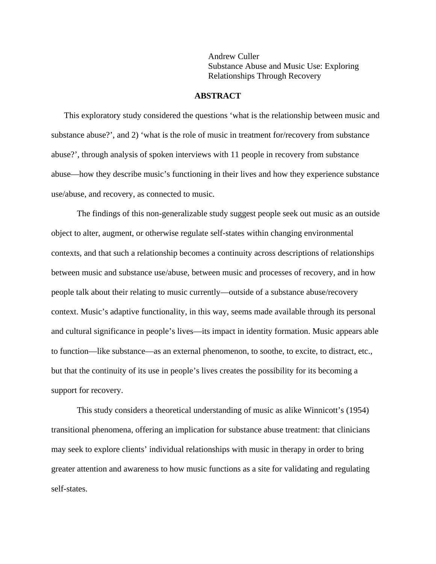Andrew Culler Substance Abuse and Music Use: Exploring Relationships Through Recovery

#### **ABSTRACT**

 This exploratory study considered the questions 'what is the relationship between music and substance abuse?', and 2) 'what is the role of music in treatment for/recovery from substance abuse?', through analysis of spoken interviews with 11 people in recovery from substance abuse—how they describe music's functioning in their lives and how they experience substance use/abuse, and recovery, as connected to music.

The findings of this non-generalizable study suggest people seek out music as an outside object to alter, augment, or otherwise regulate self-states within changing environmental contexts, and that such a relationship becomes a continuity across descriptions of relationships between music and substance use/abuse, between music and processes of recovery, and in how people talk about their relating to music currently—outside of a substance abuse/recovery context. Music's adaptive functionality, in this way, seems made available through its personal and cultural significance in people's lives—its impact in identity formation. Music appears able to function—like substance—as an external phenomenon, to soothe, to excite, to distract, etc., but that the continuity of its use in people's lives creates the possibility for its becoming a support for recovery.

This study considers a theoretical understanding of music as alike Winnicott's (1954) transitional phenomena, offering an implication for substance abuse treatment: that clinicians may seek to explore clients' individual relationships with music in therapy in order to bring greater attention and awareness to how music functions as a site for validating and regulating self-states.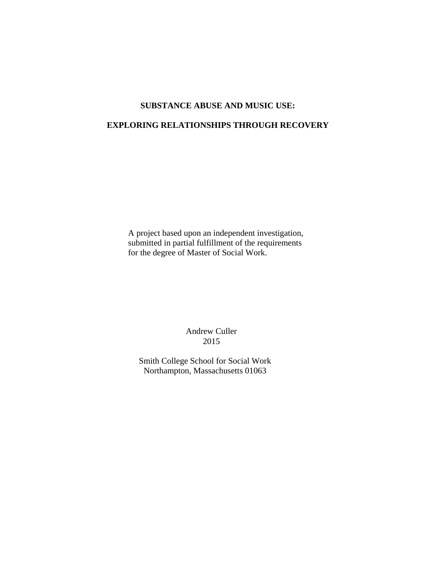# **SUBSTANCE ABUSE AND MUSIC USE:**

# **EXPLORING RELATIONSHIPS THROUGH RECOVERY**

 A project based upon an independent investigation, submitted in partial fulfillment of the requirements for the degree of Master of Social Work.

> Andrew Culler 2015

Smith College School for Social Work Northampton, Massachusetts 01063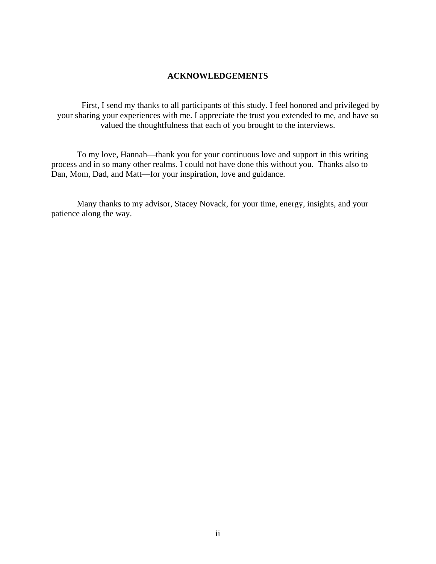# **ACKNOWLEDGEMENTS**

First, I send my thanks to all participants of this study. I feel honored and privileged by your sharing your experiences with me. I appreciate the trust you extended to me, and have so valued the thoughtfulness that each of you brought to the interviews.

To my love, Hannah—thank you for your continuous love and support in this writing process and in so many other realms. I could not have done this without you. Thanks also to Dan, Mom, Dad, and Matt—for your inspiration, love and guidance.

Many thanks to my advisor, Stacey Novack, for your time, energy, insights, and your patience along the way.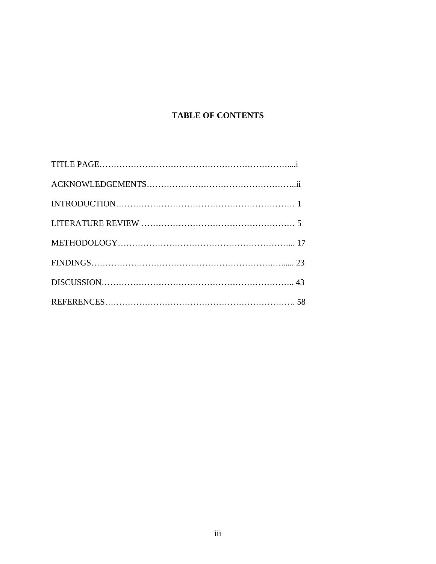# **TABLE OF CONTENTS**

| $FINDINGS23$ |  |
|--------------|--|
|              |  |
|              |  |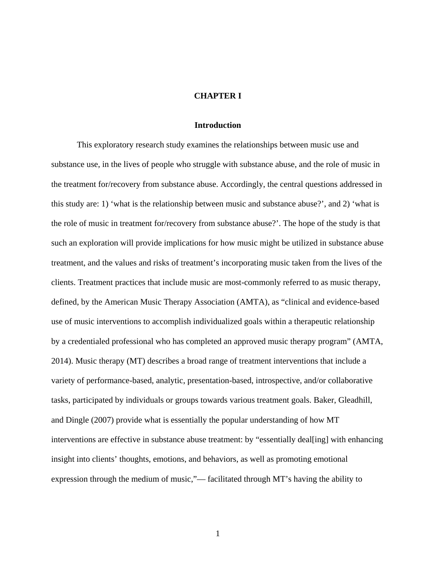# **CHAPTER I**

# **Introduction**

This exploratory research study examines the relationships between music use and substance use, in the lives of people who struggle with substance abuse, and the role of music in the treatment for/recovery from substance abuse. Accordingly, the central questions addressed in this study are: 1) 'what is the relationship between music and substance abuse?', and 2) 'what is the role of music in treatment for/recovery from substance abuse?'. The hope of the study is that such an exploration will provide implications for how music might be utilized in substance abuse treatment, and the values and risks of treatment's incorporating music taken from the lives of the clients. Treatment practices that include music are most-commonly referred to as music therapy, defined, by the American Music Therapy Association (AMTA), as "clinical and evidence-based use of music interventions to accomplish individualized goals within a therapeutic relationship by a credentialed professional who has completed an approved music therapy program" (AMTA, 2014). Music therapy (MT) describes a broad range of treatment interventions that include a variety of performance-based, analytic, presentation-based, introspective, and/or collaborative tasks, participated by individuals or groups towards various treatment goals. Baker, Gleadhill, and Dingle (2007) provide what is essentially the popular understanding of how MT interventions are effective in substance abuse treatment: by "essentially deal[ing] with enhancing insight into clients' thoughts, emotions, and behaviors, as well as promoting emotional expression through the medium of music,"— facilitated through MT's having the ability to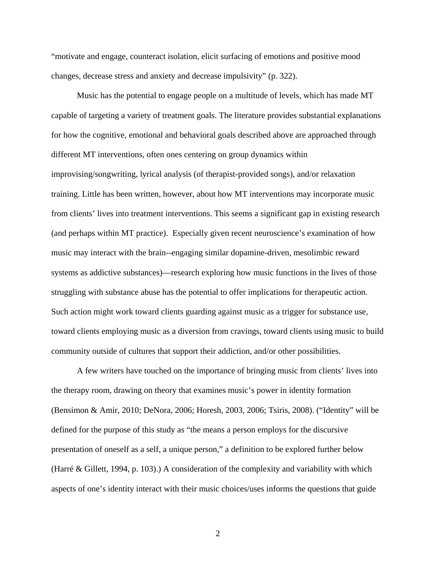"motivate and engage, counteract isolation, elicit surfacing of emotions and positive mood changes, decrease stress and anxiety and decrease impulsivity" (p. 322).

Music has the potential to engage people on a multitude of levels, which has made MT capable of targeting a variety of treatment goals. The literature provides substantial explanations for how the cognitive, emotional and behavioral goals described above are approached through different MT interventions, often ones centering on group dynamics within improvising/songwriting, lyrical analysis (of therapist-provided songs), and/or relaxation training. Little has been written, however, about how MT interventions may incorporate music from clients' lives into treatment interventions. This seems a significant gap in existing research (and perhaps within MT practice). Especially given recent neuroscience's examination of how music may interact with the brain--engaging similar dopamine-driven, mesolimbic reward systems as addictive substances)—research exploring how music functions in the lives of those struggling with substance abuse has the potential to offer implications for therapeutic action. Such action might work toward clients guarding against music as a trigger for substance use, toward clients employing music as a diversion from cravings, toward clients using music to build community outside of cultures that support their addiction, and/or other possibilities.

A few writers have touched on the importance of bringing music from clients' lives into the therapy room, drawing on theory that examines music's power in identity formation (Bensimon & Amir, 2010; DeNora, 2006; Horesh, 2003, 2006; Tsiris, 2008). ("Identity" will be defined for the purpose of this study as "the means a person employs for the discursive presentation of oneself as a self, a unique person," a definition to be explored further below (Harré & Gillett, 1994, p. 103).) A consideration of the complexity and variability with which aspects of one's identity interact with their music choices/uses informs the questions that guide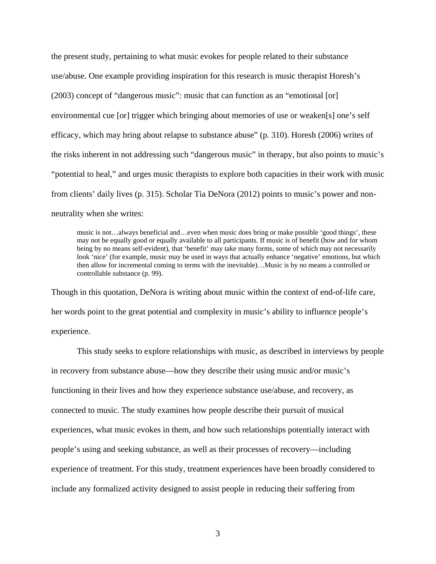the present study, pertaining to what music evokes for people related to their substance use/abuse. One example providing inspiration for this research is music therapist Horesh's (2003) concept of "dangerous music": music that can function as an "emotional [or] environmental cue [or] trigger which bringing about memories of use or weaken[s] one's self efficacy, which may bring about relapse to substance abuse" (p. 310). Horesh (2006) writes of the risks inherent in not addressing such "dangerous music" in therapy, but also points to music's "potential to heal," and urges music therapists to explore both capacities in their work with music from clients' daily lives (p. 315). Scholar Tia DeNora (2012) points to music's power and nonneutrality when she writes:

music is not…always beneficial and…even when music does bring or make possible 'good things', these may not be equally good or equally available to all participants. If music is of benefit (how and for whom being by no means self-evident), that 'benefit' may take many forms, some of which may not necessarily look 'nice' (for example, music may be used in ways that actually enhance 'negative' emotions, but which then allow for incremental coming to terms with the inevitable)…Music is by no means a controlled or controllable substance (p. 99).

Though in this quotation, DeNora is writing about music within the context of end-of-life care, her words point to the great potential and complexity in music's ability to influence people's experience.

 This study seeks to explore relationships with music, as described in interviews by people in recovery from substance abuse—how they describe their using music and/or music's functioning in their lives and how they experience substance use/abuse, and recovery, as connected to music. The study examines how people describe their pursuit of musical experiences, what music evokes in them, and how such relationships potentially interact with people's using and seeking substance, as well as their processes of recovery—including experience of treatment. For this study, treatment experiences have been broadly considered to include any formalized activity designed to assist people in reducing their suffering from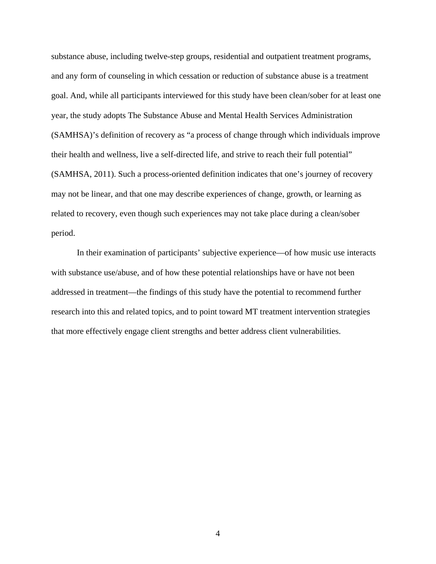substance abuse, including twelve-step groups, residential and outpatient treatment programs, and any form of counseling in which cessation or reduction of substance abuse is a treatment goal. And, while all participants interviewed for this study have been clean/sober for at least one year, the study adopts The Substance Abuse and Mental Health Services Administration (SAMHSA)'s definition of recovery as "a process of change through which individuals improve their health and wellness, live a self-directed life, and strive to reach their full potential" (SAMHSA, 2011). Such a process-oriented definition indicates that one's journey of recovery may not be linear, and that one may describe experiences of change, growth, or learning as related to recovery, even though such experiences may not take place during a clean/sober period.

In their examination of participants' subjective experience—of how music use interacts with substance use/abuse, and of how these potential relationships have or have not been addressed in treatment—the findings of this study have the potential to recommend further research into this and related topics, and to point toward MT treatment intervention strategies that more effectively engage client strengths and better address client vulnerabilities.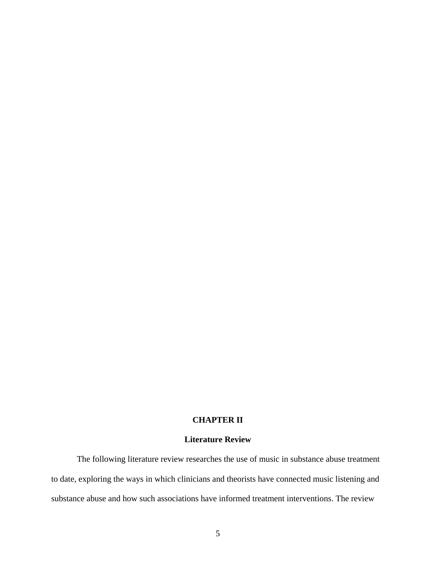# **CHAPTER II**

# **Literature Review**

 The following literature review researches the use of music in substance abuse treatment to date, exploring the ways in which clinicians and theorists have connected music listening and substance abuse and how such associations have informed treatment interventions. The review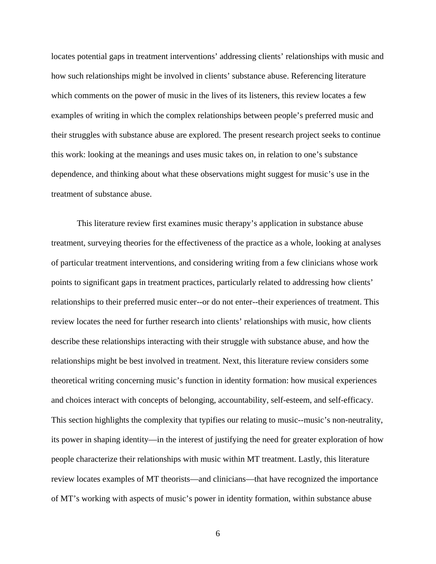locates potential gaps in treatment interventions' addressing clients' relationships with music and how such relationships might be involved in clients' substance abuse. Referencing literature which comments on the power of music in the lives of its listeners, this review locates a few examples of writing in which the complex relationships between people's preferred music and their struggles with substance abuse are explored. The present research project seeks to continue this work: looking at the meanings and uses music takes on, in relation to one's substance dependence, and thinking about what these observations might suggest for music's use in the treatment of substance abuse.

This literature review first examines music therapy's application in substance abuse treatment, surveying theories for the effectiveness of the practice as a whole, looking at analyses of particular treatment interventions, and considering writing from a few clinicians whose work points to significant gaps in treatment practices, particularly related to addressing how clients' relationships to their preferred music enter--or do not enter--their experiences of treatment. This review locates the need for further research into clients' relationships with music, how clients describe these relationships interacting with their struggle with substance abuse, and how the relationships might be best involved in treatment. Next, this literature review considers some theoretical writing concerning music's function in identity formation: how musical experiences and choices interact with concepts of belonging, accountability, self-esteem, and self-efficacy. This section highlights the complexity that typifies our relating to music--music's non-neutrality, its power in shaping identity—in the interest of justifying the need for greater exploration of how people characterize their relationships with music within MT treatment. Lastly, this literature review locates examples of MT theorists—and clinicians—that have recognized the importance of MT's working with aspects of music's power in identity formation, within substance abuse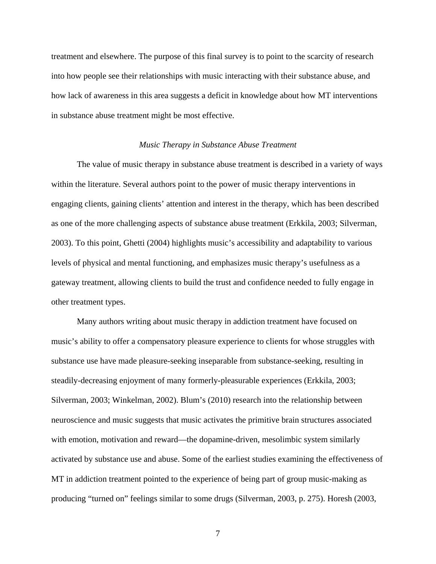treatment and elsewhere. The purpose of this final survey is to point to the scarcity of research into how people see their relationships with music interacting with their substance abuse, and how lack of awareness in this area suggests a deficit in knowledge about how MT interventions in substance abuse treatment might be most effective.

#### *Music Therapy in Substance Abuse Treatment*

The value of music therapy in substance abuse treatment is described in a variety of ways within the literature. Several authors point to the power of music therapy interventions in engaging clients, gaining clients' attention and interest in the therapy, which has been described as one of the more challenging aspects of substance abuse treatment (Erkkila, 2003; Silverman, 2003). To this point, Ghetti (2004) highlights music's accessibility and adaptability to various levels of physical and mental functioning, and emphasizes music therapy's usefulness as a gateway treatment, allowing clients to build the trust and confidence needed to fully engage in other treatment types.

Many authors writing about music therapy in addiction treatment have focused on music's ability to offer a compensatory pleasure experience to clients for whose struggles with substance use have made pleasure-seeking inseparable from substance-seeking, resulting in steadily-decreasing enjoyment of many formerly-pleasurable experiences (Erkkila, 2003; Silverman, 2003; Winkelman, 2002). Blum's (2010) research into the relationship between neuroscience and music suggests that music activates the primitive brain structures associated with emotion, motivation and reward—the dopamine-driven, mesolimbic system similarly activated by substance use and abuse. Some of the earliest studies examining the effectiveness of MT in addiction treatment pointed to the experience of being part of group music-making as producing "turned on" feelings similar to some drugs (Silverman, 2003, p. 275). Horesh (2003,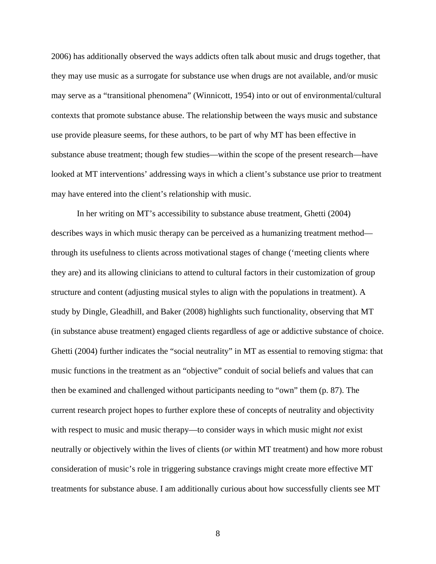2006) has additionally observed the ways addicts often talk about music and drugs together, that they may use music as a surrogate for substance use when drugs are not available, and/or music may serve as a "transitional phenomena" (Winnicott, 1954) into or out of environmental/cultural contexts that promote substance abuse. The relationship between the ways music and substance use provide pleasure seems, for these authors, to be part of why MT has been effective in substance abuse treatment; though few studies—within the scope of the present research—have looked at MT interventions' addressing ways in which a client's substance use prior to treatment may have entered into the client's relationship with music.

In her writing on MT's accessibility to substance abuse treatment, Ghetti (2004) describes ways in which music therapy can be perceived as a humanizing treatment method through its usefulness to clients across motivational stages of change ('meeting clients where they are) and its allowing clinicians to attend to cultural factors in their customization of group structure and content (adjusting musical styles to align with the populations in treatment). A study by Dingle, Gleadhill, and Baker (2008) highlights such functionality, observing that MT (in substance abuse treatment) engaged clients regardless of age or addictive substance of choice. Ghetti (2004) further indicates the "social neutrality" in MT as essential to removing stigma: that music functions in the treatment as an "objective" conduit of social beliefs and values that can then be examined and challenged without participants needing to "own" them (p. 87). The current research project hopes to further explore these of concepts of neutrality and objectivity with respect to music and music therapy—to consider ways in which music might *not* exist neutrally or objectively within the lives of clients (*or* within MT treatment) and how more robust consideration of music's role in triggering substance cravings might create more effective MT treatments for substance abuse. I am additionally curious about how successfully clients see MT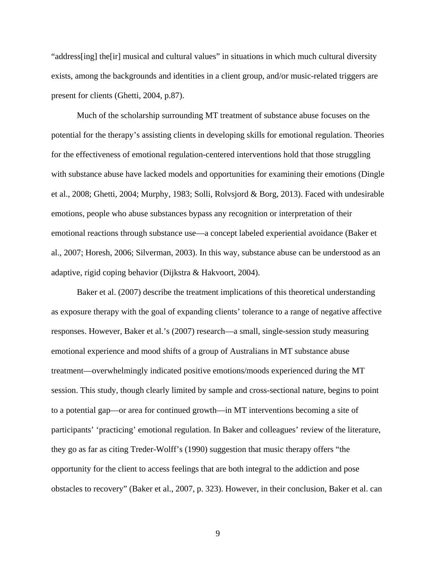"address[ing] the[ir] musical and cultural values" in situations in which much cultural diversity exists, among the backgrounds and identities in a client group, and/or music-related triggers are present for clients (Ghetti, 2004, p.87).

Much of the scholarship surrounding MT treatment of substance abuse focuses on the potential for the therapy's assisting clients in developing skills for emotional regulation. Theories for the effectiveness of emotional regulation-centered interventions hold that those struggling with substance abuse have lacked models and opportunities for examining their emotions (Dingle et al., 2008; Ghetti, 2004; Murphy, 1983; Solli, Rolvsjord & Borg, 2013). Faced with undesirable emotions, people who abuse substances bypass any recognition or interpretation of their emotional reactions through substance use—a concept labeled experiential avoidance (Baker et al., 2007; Horesh, 2006; Silverman, 2003). In this way, substance abuse can be understood as an adaptive, rigid coping behavior (Dijkstra & Hakvoort, 2004).

Baker et al. (2007) describe the treatment implications of this theoretical understanding as exposure therapy with the goal of expanding clients' tolerance to a range of negative affective responses. However, Baker et al.'s (2007) research—a small, single-session study measuring emotional experience and mood shifts of a group of Australians in MT substance abuse treatment—overwhelmingly indicated positive emotions/moods experienced during the MT session. This study, though clearly limited by sample and cross-sectional nature, begins to point to a potential gap—or area for continued growth—in MT interventions becoming a site of participants' 'practicing' emotional regulation. In Baker and colleagues' review of the literature, they go as far as citing Treder-Wolff's (1990) suggestion that music therapy offers "the opportunity for the client to access feelings that are both integral to the addiction and pose obstacles to recovery" (Baker et al., 2007, p. 323). However, in their conclusion, Baker et al. can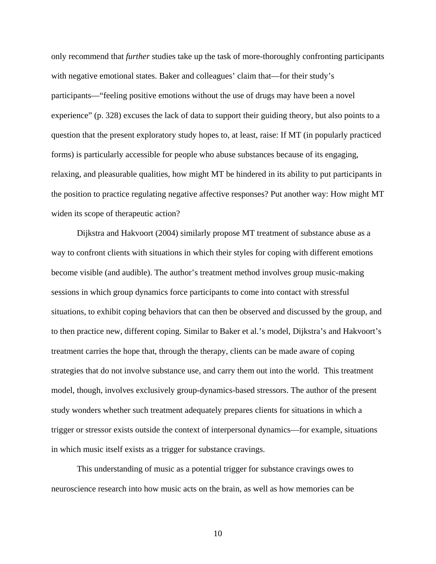only recommend that *further* studies take up the task of more-thoroughly confronting participants with negative emotional states. Baker and colleagues' claim that—for their study's participants—"feeling positive emotions without the use of drugs may have been a novel experience" (p. 328) excuses the lack of data to support their guiding theory, but also points to a question that the present exploratory study hopes to, at least, raise: If MT (in popularly practiced forms) is particularly accessible for people who abuse substances because of its engaging, relaxing, and pleasurable qualities, how might MT be hindered in its ability to put participants in the position to practice regulating negative affective responses? Put another way: How might MT widen its scope of therapeutic action?

Dijkstra and Hakvoort (2004) similarly propose MT treatment of substance abuse as a way to confront clients with situations in which their styles for coping with different emotions become visible (and audible). The author's treatment method involves group music-making sessions in which group dynamics force participants to come into contact with stressful situations, to exhibit coping behaviors that can then be observed and discussed by the group, and to then practice new, different coping. Similar to Baker et al.'s model, Dijkstra's and Hakvoort's treatment carries the hope that, through the therapy, clients can be made aware of coping strategies that do not involve substance use, and carry them out into the world. This treatment model, though, involves exclusively group-dynamics-based stressors. The author of the present study wonders whether such treatment adequately prepares clients for situations in which a trigger or stressor exists outside the context of interpersonal dynamics—for example, situations in which music itself exists as a trigger for substance cravings.

This understanding of music as a potential trigger for substance cravings owes to neuroscience research into how music acts on the brain, as well as how memories can be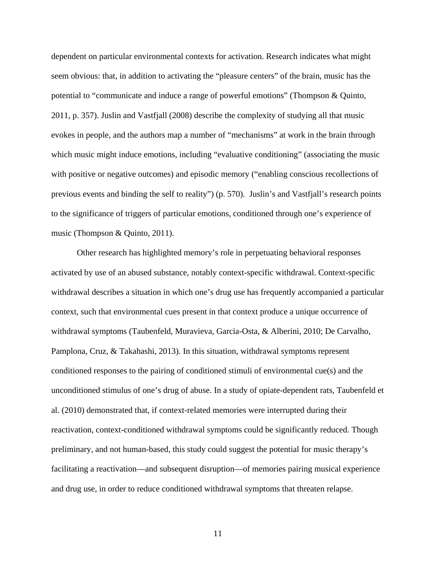dependent on particular environmental contexts for activation. Research indicates what might seem obvious: that, in addition to activating the "pleasure centers" of the brain, music has the potential to "communicate and induce a range of powerful emotions" (Thompson & Quinto, 2011, p. 357). Juslin and Vastfjall (2008) describe the complexity of studying all that music evokes in people, and the authors map a number of "mechanisms" at work in the brain through which music might induce emotions, including "evaluative conditioning" (associating the music with positive or negative outcomes) and episodic memory ("enabling conscious recollections of previous events and binding the self to reality") (p. 570). Juslin's and Vastfjall's research points to the significance of triggers of particular emotions, conditioned through one's experience of music (Thompson & Quinto, 2011).

Other research has highlighted memory's role in perpetuating behavioral responses activated by use of an abused substance, notably context-specific withdrawal. Context-specific withdrawal describes a situation in which one's drug use has frequently accompanied a particular context, such that environmental cues present in that context produce a unique occurrence of withdrawal symptoms (Taubenfeld, Muravieva, Garcia-Osta, & Alberini, 2010; De Carvalho, Pamplona, Cruz, & Takahashi, 2013). In this situation, withdrawal symptoms represent conditioned responses to the pairing of conditioned stimuli of environmental cue(s) and the unconditioned stimulus of one's drug of abuse. In a study of opiate-dependent rats, Taubenfeld et al. (2010) demonstrated that, if context-related memories were interrupted during their reactivation, context-conditioned withdrawal symptoms could be significantly reduced. Though preliminary, and not human-based, this study could suggest the potential for music therapy's facilitating a reactivation—and subsequent disruption—of memories pairing musical experience and drug use, in order to reduce conditioned withdrawal symptoms that threaten relapse.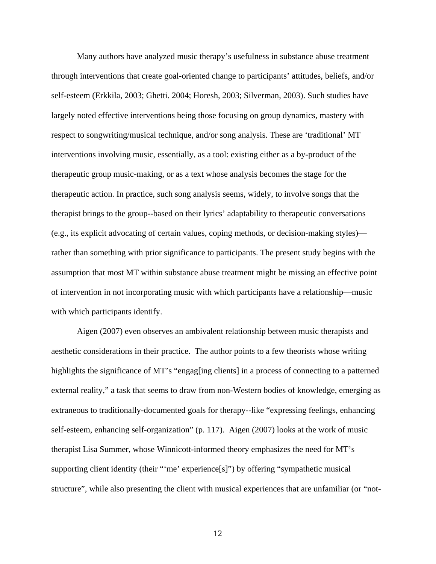Many authors have analyzed music therapy's usefulness in substance abuse treatment through interventions that create goal-oriented change to participants' attitudes, beliefs, and/or self-esteem (Erkkila, 2003; Ghetti. 2004; Horesh, 2003; Silverman, 2003). Such studies have largely noted effective interventions being those focusing on group dynamics, mastery with respect to songwriting/musical technique, and/or song analysis. These are 'traditional' MT interventions involving music, essentially, as a tool: existing either as a by-product of the therapeutic group music-making, or as a text whose analysis becomes the stage for the therapeutic action. In practice, such song analysis seems, widely, to involve songs that the therapist brings to the group--based on their lyrics' adaptability to therapeutic conversations (e.g., its explicit advocating of certain values, coping methods, or decision-making styles) rather than something with prior significance to participants. The present study begins with the assumption that most MT within substance abuse treatment might be missing an effective point of intervention in not incorporating music with which participants have a relationship—music with which participants identify.

Aigen (2007) even observes an ambivalent relationship between music therapists and aesthetic considerations in their practice. The author points to a few theorists whose writing highlights the significance of MT's "engag[ing clients] in a process of connecting to a patterned external reality," a task that seems to draw from non-Western bodies of knowledge, emerging as extraneous to traditionally-documented goals for therapy--like "expressing feelings, enhancing self-esteem, enhancing self-organization" (p. 117). Aigen (2007) looks at the work of music therapist Lisa Summer, whose Winnicott-informed theory emphasizes the need for MT's supporting client identity (their "'me' experience[s]") by offering "sympathetic musical structure", while also presenting the client with musical experiences that are unfamiliar (or "not-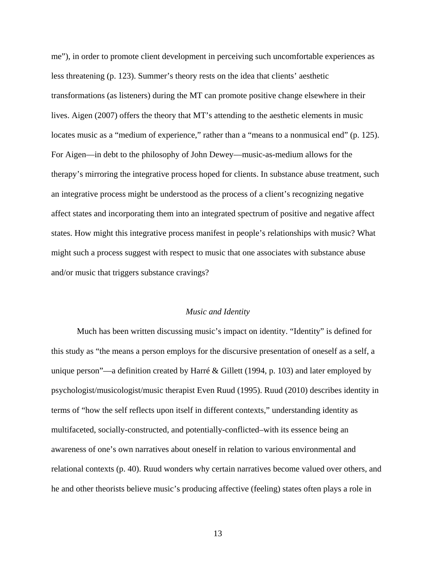me"), in order to promote client development in perceiving such uncomfortable experiences as less threatening (p. 123). Summer's theory rests on the idea that clients' aesthetic transformations (as listeners) during the MT can promote positive change elsewhere in their lives. Aigen (2007) offers the theory that MT's attending to the aesthetic elements in music locates music as a "medium of experience," rather than a "means to a nonmusical end" (p. 125). For Aigen—in debt to the philosophy of John Dewey—music-as-medium allows for the therapy's mirroring the integrative process hoped for clients. In substance abuse treatment, such an integrative process might be understood as the process of a client's recognizing negative affect states and incorporating them into an integrated spectrum of positive and negative affect states. How might this integrative process manifest in people's relationships with music? What might such a process suggest with respect to music that one associates with substance abuse and/or music that triggers substance cravings?

#### *Music and Identity*

Much has been written discussing music's impact on identity. "Identity" is defined for this study as "the means a person employs for the discursive presentation of oneself as a self, a unique person"—a definition created by Harré & Gillett (1994, p. 103) and later employed by psychologist/musicologist/music therapist Even Ruud (1995). Ruud (2010) describes identity in terms of "how the self reflects upon itself in different contexts," understanding identity as multifaceted, socially-constructed, and potentially-conflicted–with its essence being an awareness of one's own narratives about oneself in relation to various environmental and relational contexts (p. 40). Ruud wonders why certain narratives become valued over others, and he and other theorists believe music's producing affective (feeling) states often plays a role in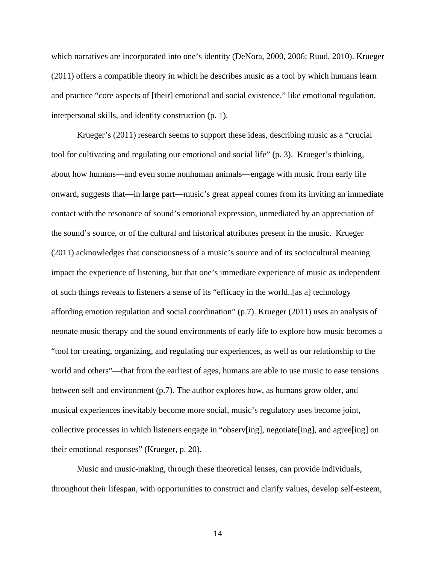which narratives are incorporated into one's identity (DeNora, 2000, 2006; Ruud, 2010). Krueger (2011) offers a compatible theory in which he describes music as a tool by which humans learn and practice "core aspects of [their] emotional and social existence," like emotional regulation, interpersonal skills, and identity construction (p. 1).

Krueger's (2011) research seems to support these ideas, describing music as a "crucial tool for cultivating and regulating our emotional and social life" (p. 3). Krueger's thinking, about how humans—and even some nonhuman animals—engage with music from early life onward, suggests that—in large part—music's great appeal comes from its inviting an immediate contact with the resonance of sound's emotional expression, unmediated by an appreciation of the sound's source, or of the cultural and historical attributes present in the music. Krueger (2011) acknowledges that consciousness of a music's source and of its sociocultural meaning impact the experience of listening, but that one's immediate experience of music as independent of such things reveals to listeners a sense of its "efficacy in the world..[as a] technology affording emotion regulation and social coordination" (p.7). Krueger (2011) uses an analysis of neonate music therapy and the sound environments of early life to explore how music becomes a "tool for creating, organizing, and regulating our experiences, as well as our relationship to the world and others"—that from the earliest of ages, humans are able to use music to ease tensions between self and environment (p.7). The author explores how, as humans grow older, and musical experiences inevitably become more social, music's regulatory uses become joint, collective processes in which listeners engage in "observ[ing], negotiate[ing], and agree[ing] on their emotional responses" (Krueger, p. 20).

Music and music-making, through these theoretical lenses, can provide individuals, throughout their lifespan, with opportunities to construct and clarify values, develop self-esteem,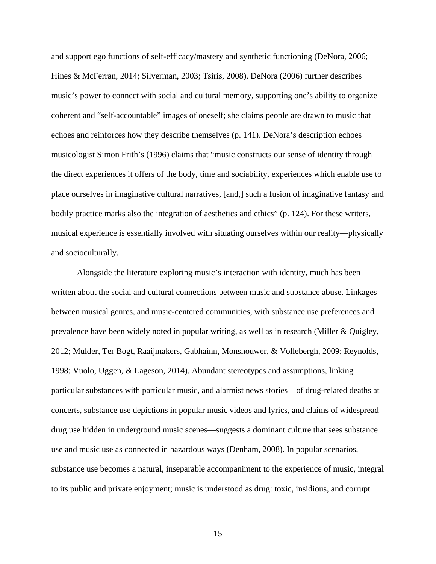and support ego functions of self-efficacy/mastery and synthetic functioning (DeNora, 2006; Hines & McFerran, 2014; Silverman, 2003; Tsiris, 2008). DeNora (2006) further describes music's power to connect with social and cultural memory, supporting one's ability to organize coherent and "self-accountable" images of oneself; she claims people are drawn to music that echoes and reinforces how they describe themselves (p. 141). DeNora's description echoes musicologist Simon Frith's (1996) claims that "music constructs our sense of identity through the direct experiences it offers of the body, time and sociability, experiences which enable use to place ourselves in imaginative cultural narratives, [and,] such a fusion of imaginative fantasy and bodily practice marks also the integration of aesthetics and ethics" (p. 124). For these writers, musical experience is essentially involved with situating ourselves within our reality—physically and socioculturally.

Alongside the literature exploring music's interaction with identity, much has been written about the social and cultural connections between music and substance abuse. Linkages between musical genres, and music-centered communities, with substance use preferences and prevalence have been widely noted in popular writing, as well as in research (Miller & Quigley, 2012; Mulder, Ter Bogt, Raaijmakers, Gabhainn, Monshouwer, & Vollebergh, 2009; Reynolds, 1998; Vuolo, Uggen, & Lageson, 2014). Abundant stereotypes and assumptions, linking particular substances with particular music, and alarmist news stories—of drug-related deaths at concerts, substance use depictions in popular music videos and lyrics, and claims of widespread drug use hidden in underground music scenes—suggests a dominant culture that sees substance use and music use as connected in hazardous ways (Denham, 2008). In popular scenarios, substance use becomes a natural, inseparable accompaniment to the experience of music, integral to its public and private enjoyment; music is understood as drug: toxic, insidious, and corrupt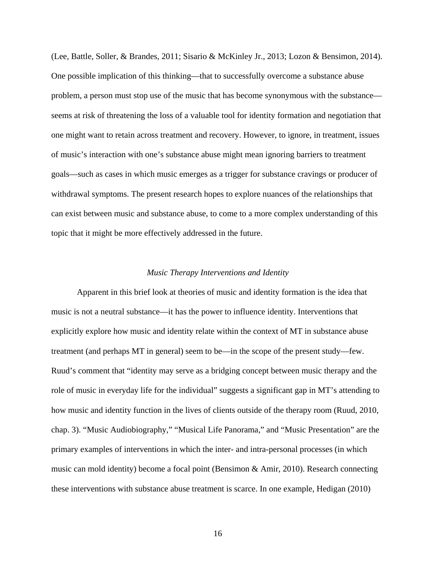(Lee, Battle, Soller, & Brandes, 2011; Sisario & McKinley Jr., 2013; Lozon & Bensimon, 2014). One possible implication of this thinking—that to successfully overcome a substance abuse problem, a person must stop use of the music that has become synonymous with the substance seems at risk of threatening the loss of a valuable tool for identity formation and negotiation that one might want to retain across treatment and recovery. However, to ignore, in treatment, issues of music's interaction with one's substance abuse might mean ignoring barriers to treatment goals—such as cases in which music emerges as a trigger for substance cravings or producer of withdrawal symptoms. The present research hopes to explore nuances of the relationships that can exist between music and substance abuse, to come to a more complex understanding of this topic that it might be more effectively addressed in the future.

# *Music Therapy Interventions and Identity*

Apparent in this brief look at theories of music and identity formation is the idea that music is not a neutral substance—it has the power to influence identity. Interventions that explicitly explore how music and identity relate within the context of MT in substance abuse treatment (and perhaps MT in general) seem to be—in the scope of the present study—few. Ruud's comment that "identity may serve as a bridging concept between music therapy and the role of music in everyday life for the individual" suggests a significant gap in MT's attending to how music and identity function in the lives of clients outside of the therapy room (Ruud, 2010, chap. 3). "Music Audiobiography," "Musical Life Panorama," and "Music Presentation" are the primary examples of interventions in which the inter- and intra-personal processes (in which music can mold identity) become a focal point (Bensimon & Amir, 2010). Research connecting these interventions with substance abuse treatment is scarce. In one example, Hedigan (2010)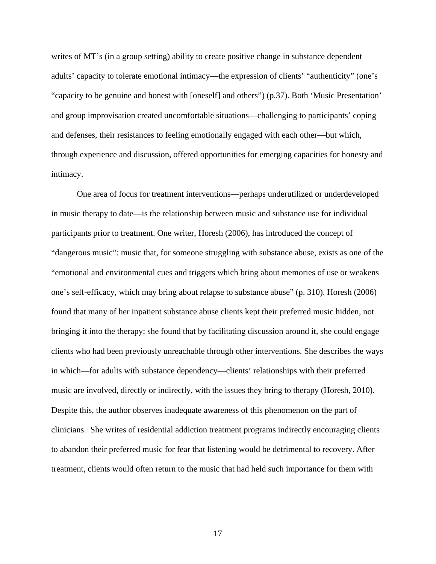writes of MT's (in a group setting) ability to create positive change in substance dependent adults' capacity to tolerate emotional intimacy—the expression of clients' "authenticity" (one's "capacity to be genuine and honest with [oneself] and others") (p.37). Both 'Music Presentation' and group improvisation created uncomfortable situations—challenging to participants' coping and defenses, their resistances to feeling emotionally engaged with each other—but which, through experience and discussion, offered opportunities for emerging capacities for honesty and intimacy.

One area of focus for treatment interventions—perhaps underutilized or underdeveloped in music therapy to date—is the relationship between music and substance use for individual participants prior to treatment. One writer, Horesh (2006), has introduced the concept of "dangerous music": music that, for someone struggling with substance abuse, exists as one of the "emotional and environmental cues and triggers which bring about memories of use or weakens one's self-efficacy, which may bring about relapse to substance abuse" (p. 310). Horesh (2006) found that many of her inpatient substance abuse clients kept their preferred music hidden, not bringing it into the therapy; she found that by facilitating discussion around it, she could engage clients who had been previously unreachable through other interventions. She describes the ways in which—for adults with substance dependency—clients' relationships with their preferred music are involved, directly or indirectly, with the issues they bring to therapy (Horesh, 2010). Despite this, the author observes inadequate awareness of this phenomenon on the part of clinicians. She writes of residential addiction treatment programs indirectly encouraging clients to abandon their preferred music for fear that listening would be detrimental to recovery. After treatment, clients would often return to the music that had held such importance for them with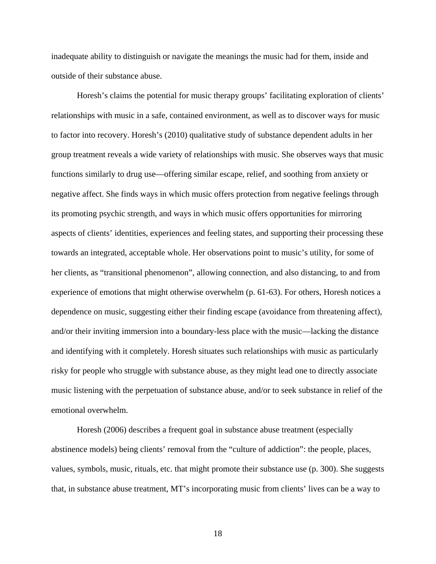inadequate ability to distinguish or navigate the meanings the music had for them, inside and outside of their substance abuse.

Horesh's claims the potential for music therapy groups' facilitating exploration of clients' relationships with music in a safe, contained environment, as well as to discover ways for music to factor into recovery. Horesh's (2010) qualitative study of substance dependent adults in her group treatment reveals a wide variety of relationships with music. She observes ways that music functions similarly to drug use—offering similar escape, relief, and soothing from anxiety or negative affect. She finds ways in which music offers protection from negative feelings through its promoting psychic strength, and ways in which music offers opportunities for mirroring aspects of clients' identities, experiences and feeling states, and supporting their processing these towards an integrated, acceptable whole. Her observations point to music's utility, for some of her clients, as "transitional phenomenon", allowing connection, and also distancing, to and from experience of emotions that might otherwise overwhelm (p. 61-63). For others, Horesh notices a dependence on music, suggesting either their finding escape (avoidance from threatening affect), and/or their inviting immersion into a boundary-less place with the music—lacking the distance and identifying with it completely. Horesh situates such relationships with music as particularly risky for people who struggle with substance abuse, as they might lead one to directly associate music listening with the perpetuation of substance abuse, and/or to seek substance in relief of the emotional overwhelm.

Horesh (2006) describes a frequent goal in substance abuse treatment (especially abstinence models) being clients' removal from the "culture of addiction": the people, places, values, symbols, music, rituals, etc. that might promote their substance use (p. 300). She suggests that, in substance abuse treatment, MT's incorporating music from clients' lives can be a way to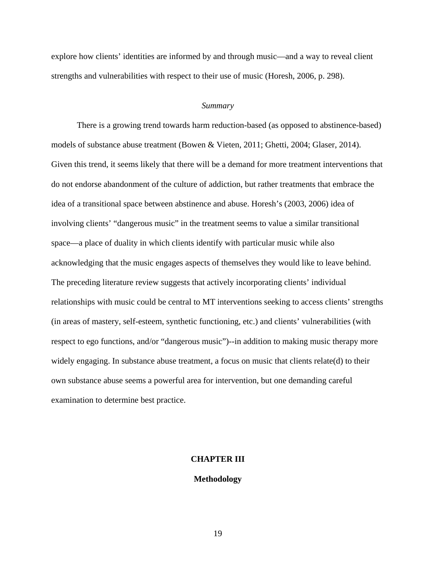explore how clients' identities are informed by and through music—and a way to reveal client strengths and vulnerabilities with respect to their use of music (Horesh, 2006, p. 298).

#### *Summary*

There is a growing trend towards harm reduction-based (as opposed to abstinence-based) models of substance abuse treatment (Bowen & Vieten, 2011; Ghetti, 2004; Glaser, 2014). Given this trend, it seems likely that there will be a demand for more treatment interventions that do not endorse abandonment of the culture of addiction, but rather treatments that embrace the idea of a transitional space between abstinence and abuse. Horesh's (2003, 2006) idea of involving clients' "dangerous music" in the treatment seems to value a similar transitional space—a place of duality in which clients identify with particular music while also acknowledging that the music engages aspects of themselves they would like to leave behind. The preceding literature review suggests that actively incorporating clients' individual relationships with music could be central to MT interventions seeking to access clients' strengths (in areas of mastery, self-esteem, synthetic functioning, etc.) and clients' vulnerabilities (with respect to ego functions, and/or "dangerous music")--in addition to making music therapy more widely engaging. In substance abuse treatment, a focus on music that clients relate(d) to their own substance abuse seems a powerful area for intervention, but one demanding careful examination to determine best practice.

#### **CHAPTER III**

#### **Methodology**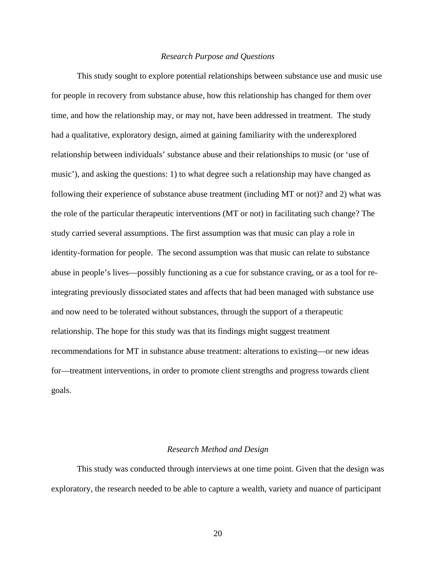#### *Research Purpose and Questions*

This study sought to explore potential relationships between substance use and music use for people in recovery from substance abuse, how this relationship has changed for them over time, and how the relationship may, or may not, have been addressed in treatment. The study had a qualitative, exploratory design, aimed at gaining familiarity with the underexplored relationship between individuals' substance abuse and their relationships to music (or 'use of music'), and asking the questions: 1) to what degree such a relationship may have changed as following their experience of substance abuse treatment (including MT or not)? and 2) what was the role of the particular therapeutic interventions (MT or not) in facilitating such change? The study carried several assumptions. The first assumption was that music can play a role in identity-formation for people. The second assumption was that music can relate to substance abuse in people's lives—possibly functioning as a cue for substance craving, or as a tool for reintegrating previously dissociated states and affects that had been managed with substance use and now need to be tolerated without substances, through the support of a therapeutic relationship. The hope for this study was that its findings might suggest treatment recommendations for MT in substance abuse treatment: alterations to existing—or new ideas for—treatment interventions, in order to promote client strengths and progress towards client goals.

#### *Research Method and Design*

 This study was conducted through interviews at one time point. Given that the design was exploratory, the research needed to be able to capture a wealth, variety and nuance of participant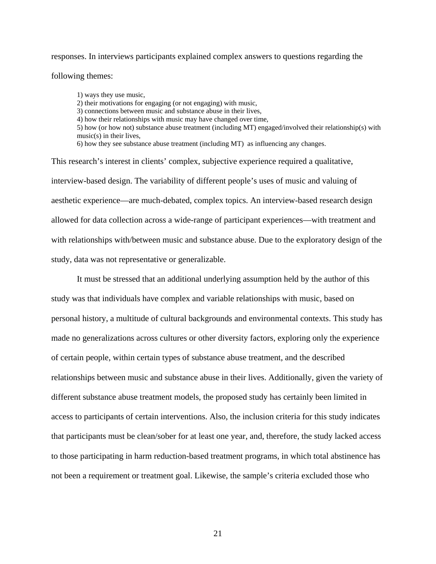responses. In interviews participants explained complex answers to questions regarding the

following themes:

1) ways they use music, 2) their motivations for engaging (or not engaging) with music, 3) connections between music and substance abuse in their lives, 4) how their relationships with music may have changed over time, 5) how (or how not) substance abuse treatment (including MT) engaged/involved their relationship(s) with music(s) in their lives, 6) how they see substance abuse treatment (including MT) as influencing any changes.

This research's interest in clients' complex, subjective experience required a qualitative, interview-based design. The variability of different people's uses of music and valuing of aesthetic experience—are much-debated, complex topics. An interview-based research design allowed for data collection across a wide-range of participant experiences—with treatment and with relationships with/between music and substance abuse. Due to the exploratory design of the study, data was not representative or generalizable.

 It must be stressed that an additional underlying assumption held by the author of this study was that individuals have complex and variable relationships with music, based on personal history, a multitude of cultural backgrounds and environmental contexts. This study has made no generalizations across cultures or other diversity factors, exploring only the experience of certain people, within certain types of substance abuse treatment, and the described relationships between music and substance abuse in their lives. Additionally, given the variety of different substance abuse treatment models, the proposed study has certainly been limited in access to participants of certain interventions. Also, the inclusion criteria for this study indicates that participants must be clean/sober for at least one year, and, therefore, the study lacked access to those participating in harm reduction-based treatment programs, in which total abstinence has not been a requirement or treatment goal. Likewise, the sample's criteria excluded those who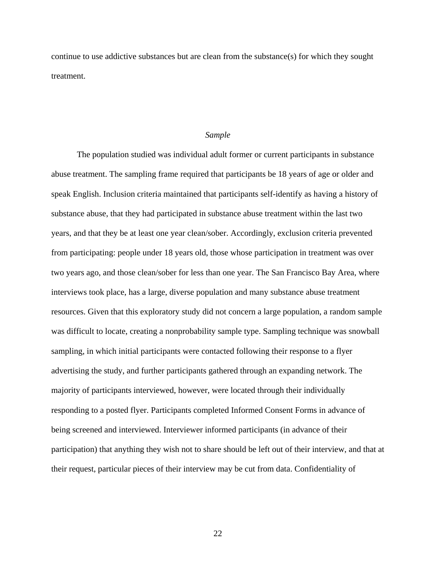continue to use addictive substances but are clean from the substance(s) for which they sought treatment.

#### *Sample*

 The population studied was individual adult former or current participants in substance abuse treatment. The sampling frame required that participants be 18 years of age or older and speak English. Inclusion criteria maintained that participants self-identify as having a history of substance abuse, that they had participated in substance abuse treatment within the last two years, and that they be at least one year clean/sober. Accordingly, exclusion criteria prevented from participating: people under 18 years old, those whose participation in treatment was over two years ago, and those clean/sober for less than one year. The San Francisco Bay Area, where interviews took place, has a large, diverse population and many substance abuse treatment resources. Given that this exploratory study did not concern a large population, a random sample was difficult to locate, creating a nonprobability sample type. Sampling technique was snowball sampling, in which initial participants were contacted following their response to a flyer advertising the study, and further participants gathered through an expanding network. The majority of participants interviewed, however, were located through their individually responding to a posted flyer. Participants completed Informed Consent Forms in advance of being screened and interviewed. Interviewer informed participants (in advance of their participation) that anything they wish not to share should be left out of their interview, and that at their request, particular pieces of their interview may be cut from data. Confidentiality of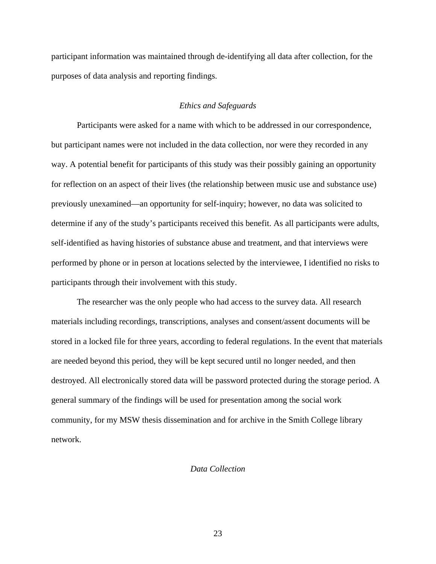participant information was maintained through de-identifying all data after collection, for the purposes of data analysis and reporting findings.

#### *Ethics and Safeguards*

Participants were asked for a name with which to be addressed in our correspondence, but participant names were not included in the data collection, nor were they recorded in any way. A potential benefit for participants of this study was their possibly gaining an opportunity for reflection on an aspect of their lives (the relationship between music use and substance use) previously unexamined—an opportunity for self-inquiry; however, no data was solicited to determine if any of the study's participants received this benefit. As all participants were adults, self-identified as having histories of substance abuse and treatment, and that interviews were performed by phone or in person at locations selected by the interviewee, I identified no risks to participants through their involvement with this study.

The researcher was the only people who had access to the survey data. All research materials including recordings, transcriptions, analyses and consent/assent documents will be stored in a locked file for three years, according to federal regulations. In the event that materials are needed beyond this period, they will be kept secured until no longer needed, and then destroyed. All electronically stored data will be password protected during the storage period. A general summary of the findings will be used for presentation among the social work community, for my MSW thesis dissemination and for archive in the Smith College library network.

# *Data Collection*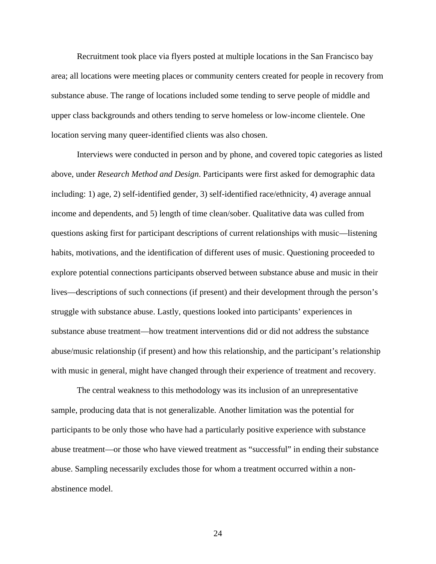Recruitment took place via flyers posted at multiple locations in the San Francisco bay area; all locations were meeting places or community centers created for people in recovery from substance abuse. The range of locations included some tending to serve people of middle and upper class backgrounds and others tending to serve homeless or low-income clientele. One location serving many queer-identified clients was also chosen.

 Interviews were conducted in person and by phone, and covered topic categories as listed above, under *Research Method and Design*. Participants were first asked for demographic data including: 1) age, 2) self-identified gender, 3) self-identified race/ethnicity, 4) average annual income and dependents, and 5) length of time clean/sober. Qualitative data was culled from questions asking first for participant descriptions of current relationships with music—listening habits, motivations, and the identification of different uses of music. Questioning proceeded to explore potential connections participants observed between substance abuse and music in their lives—descriptions of such connections (if present) and their development through the person's struggle with substance abuse. Lastly, questions looked into participants' experiences in substance abuse treatment—how treatment interventions did or did not address the substance abuse/music relationship (if present) and how this relationship, and the participant's relationship with music in general, might have changed through their experience of treatment and recovery.

The central weakness to this methodology was its inclusion of an unrepresentative sample, producing data that is not generalizable. Another limitation was the potential for participants to be only those who have had a particularly positive experience with substance abuse treatment—or those who have viewed treatment as "successful" in ending their substance abuse. Sampling necessarily excludes those for whom a treatment occurred within a nonabstinence model.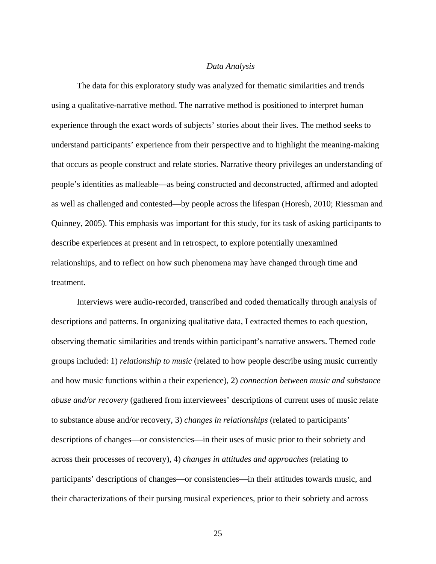#### *Data Analysis*

The data for this exploratory study was analyzed for thematic similarities and trends using a qualitative-narrative method. The narrative method is positioned to interpret human experience through the exact words of subjects' stories about their lives. The method seeks to understand participants' experience from their perspective and to highlight the meaning-making that occurs as people construct and relate stories. Narrative theory privileges an understanding of people's identities as malleable—as being constructed and deconstructed, affirmed and adopted as well as challenged and contested—by people across the lifespan (Horesh, 2010; Riessman and Quinney, 2005). This emphasis was important for this study, for its task of asking participants to describe experiences at present and in retrospect, to explore potentially unexamined relationships, and to reflect on how such phenomena may have changed through time and treatment.

Interviews were audio-recorded, transcribed and coded thematically through analysis of descriptions and patterns. In organizing qualitative data, I extracted themes to each question, observing thematic similarities and trends within participant's narrative answers. Themed code groups included: 1) *relationship to music* (related to how people describe using music currently and how music functions within a their experience), 2) *connection between music and substance abuse and/or recovery* (gathered from interviewees' descriptions of current uses of music relate to substance abuse and/or recovery, 3) *changes in relationships* (related to participants' descriptions of changes—or consistencies—in their uses of music prior to their sobriety and across their processes of recovery), 4) *changes in attitudes and approaches* (relating to participants' descriptions of changes—or consistencies—in their attitudes towards music, and their characterizations of their pursing musical experiences, prior to their sobriety and across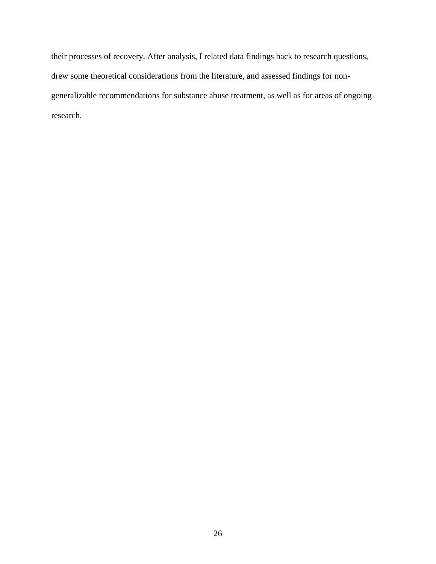their processes of recovery. After analysis, I related data findings back to research questions, drew some theoretical considerations from the literature, and assessed findings for nongeneralizable recommendations for substance abuse treatment, as well as for areas of ongoing research.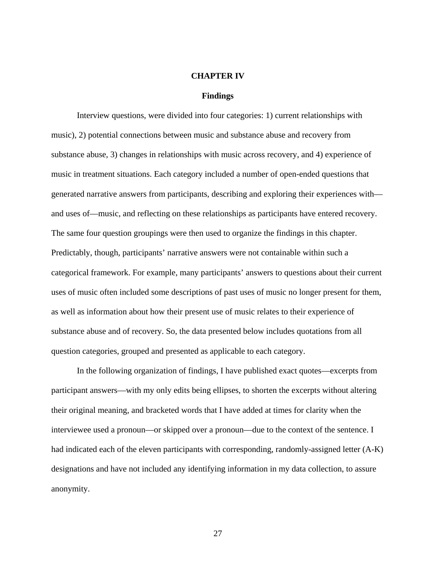#### **CHAPTER IV**

#### **Findings**

 Interview questions, were divided into four categories: 1) current relationships with music), 2) potential connections between music and substance abuse and recovery from substance abuse, 3) changes in relationships with music across recovery, and 4) experience of music in treatment situations. Each category included a number of open-ended questions that generated narrative answers from participants, describing and exploring their experiences with and uses of—music, and reflecting on these relationships as participants have entered recovery. The same four question groupings were then used to organize the findings in this chapter. Predictably, though, participants' narrative answers were not containable within such a categorical framework. For example, many participants' answers to questions about their current uses of music often included some descriptions of past uses of music no longer present for them, as well as information about how their present use of music relates to their experience of substance abuse and of recovery. So, the data presented below includes quotations from all question categories, grouped and presented as applicable to each category.

In the following organization of findings, I have published exact quotes—excerpts from participant answers—with my only edits being ellipses, to shorten the excerpts without altering their original meaning, and bracketed words that I have added at times for clarity when the interviewee used a pronoun—or skipped over a pronoun—due to the context of the sentence. I had indicated each of the eleven participants with corresponding, randomly-assigned letter (A-K) designations and have not included any identifying information in my data collection, to assure anonymity.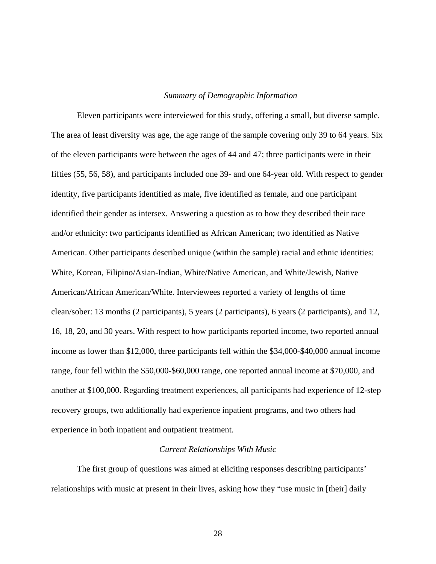### *Summary of Demographic Information*

Eleven participants were interviewed for this study, offering a small, but diverse sample. The area of least diversity was age, the age range of the sample covering only 39 to 64 years. Six of the eleven participants were between the ages of 44 and 47; three participants were in their fifties (55, 56, 58), and participants included one 39- and one 64-year old. With respect to gender identity, five participants identified as male, five identified as female, and one participant identified their gender as intersex. Answering a question as to how they described their race and/or ethnicity: two participants identified as African American; two identified as Native American. Other participants described unique (within the sample) racial and ethnic identities: White, Korean, Filipino/Asian-Indian, White/Native American, and White/Jewish, Native American/African American/White. Interviewees reported a variety of lengths of time clean/sober: 13 months (2 participants), 5 years (2 participants), 6 years (2 participants), and 12, 16, 18, 20, and 30 years. With respect to how participants reported income, two reported annual income as lower than \$12,000, three participants fell within the \$34,000-\$40,000 annual income range, four fell within the \$50,000-\$60,000 range, one reported annual income at \$70,000, and another at \$100,000. Regarding treatment experiences, all participants had experience of 12-step recovery groups, two additionally had experience inpatient programs, and two others had experience in both inpatient and outpatient treatment.

#### *Current Relationships With Music*

 The first group of questions was aimed at eliciting responses describing participants' relationships with music at present in their lives, asking how they "use music in [their] daily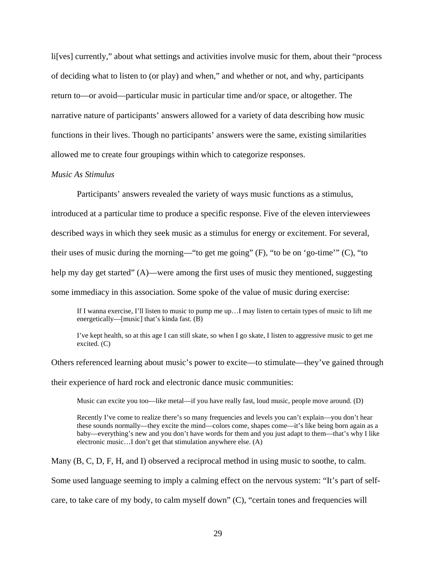li[ves] currently," about what settings and activities involve music for them, about their "process of deciding what to listen to (or play) and when," and whether or not, and why, participants return to—or avoid—particular music in particular time and/or space, or altogether. The narrative nature of participants' answers allowed for a variety of data describing how music functions in their lives. Though no participants' answers were the same, existing similarities allowed me to create four groupings within which to categorize responses.

# *Music As Stimulus*

 Participants' answers revealed the variety of ways music functions as a stimulus, introduced at a particular time to produce a specific response. Five of the eleven interviewees described ways in which they seek music as a stimulus for energy or excitement. For several, their uses of music during the morning—"to get me going" (F), "to be on 'go-time'" (C), "to help my day get started" (A)—were among the first uses of music they mentioned, suggesting some immediacy in this association. Some spoke of the value of music during exercise:

If I wanna exercise, I'll listen to music to pump me up…I may listen to certain types of music to lift me energetically—[music] that's kinda fast. (B)

 I've kept health, so at this age I can still skate, so when I go skate, I listen to aggressive music to get me excited. (C)

Others referenced learning about music's power to excite—to stimulate—they've gained through their experience of hard rock and electronic dance music communities:

Music can excite you too—like metal—if you have really fast, loud music, people move around. (D)

Recently I've come to realize there's so many frequencies and levels you can't explain—you don't hear these sounds normally—they excite the mind—colors come, shapes come—it's like being born again as a baby—everything's new and you don't have words for them and you just adapt to them—that's why I like electronic music…I don't get that stimulation anywhere else. (A)

Many (B, C, D, F, H, and I) observed a reciprocal method in using music to soothe, to calm. Some used language seeming to imply a calming effect on the nervous system: "It's part of selfcare, to take care of my body, to calm myself down" (C), "certain tones and frequencies will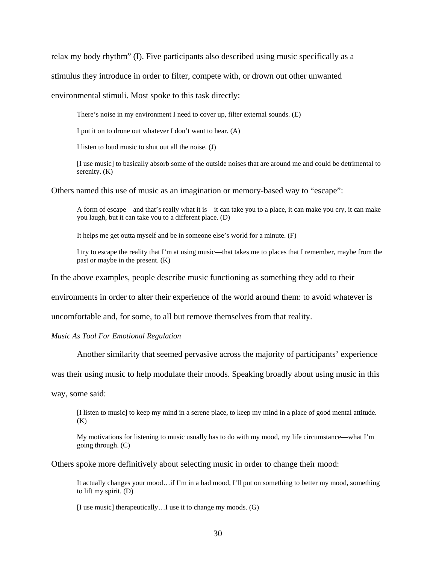relax my body rhythm" (I). Five participants also described using music specifically as a

stimulus they introduce in order to filter, compete with, or drown out other unwanted

environmental stimuli. Most spoke to this task directly:

There's noise in my environment I need to cover up, filter external sounds. (E)

I put it on to drone out whatever I don't want to hear. (A)

I listen to loud music to shut out all the noise. (J)

[I use music] to basically absorb some of the outside noises that are around me and could be detrimental to serenity. (K)

Others named this use of music as an imagination or memory-based way to "escape":

A form of escape—and that's really what it is—it can take you to a place, it can make you cry, it can make you laugh, but it can take you to a different place. (D)

It helps me get outta myself and be in someone else's world for a minute. (F)

I try to escape the reality that I'm at using music—that takes me to places that I remember, maybe from the past or maybe in the present. (K)

In the above examples, people describe music functioning as something they add to their

environments in order to alter their experience of the world around them: to avoid whatever is

uncomfortable and, for some, to all but remove themselves from that reality.

*Music As Tool For Emotional Regulation* 

Another similarity that seemed pervasive across the majority of participants' experience

was their using music to help modulate their moods. Speaking broadly about using music in this

way, some said:

[I listen to music] to keep my mind in a serene place, to keep my mind in a place of good mental attitude.  $(K)$ 

My motivations for listening to music usually has to do with my mood, my life circumstance—what I'm going through. (C)

Others spoke more definitively about selecting music in order to change their mood:

It actually changes your mood…if I'm in a bad mood, I'll put on something to better my mood, something to lift my spirit. (D)

[I use music] therapeutically…I use it to change my moods. (G)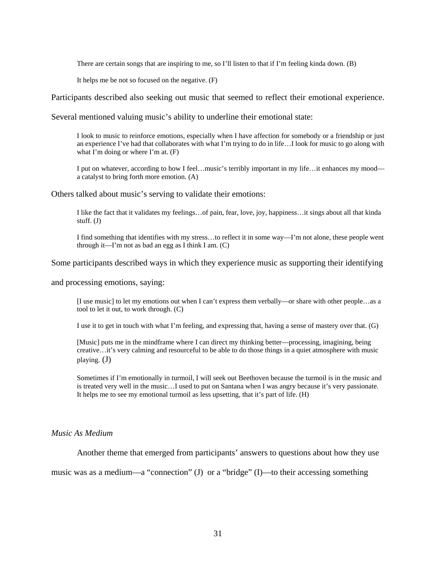There are certain songs that are inspiring to me, so I'll listen to that if I'm feeling kinda down. (B)

It helps me be not so focused on the negative. (F)

Participants described also seeking out music that seemed to reflect their emotional experience.

Several mentioned valuing music's ability to underline their emotional state:

I look to music to reinforce emotions, especially when I have affection for somebody or a friendship or just an experience I've had that collaborates with what I'm trying to do in life…I look for music to go along with what I'm doing or where I'm at. (F)

I put on whatever, according to how I feel…music's terribly important in my life…it enhances my mood a catalyst to bring forth more emotion. (A)

Others talked about music's serving to validate their emotions:

 I like the fact that it validates my feelings…of pain, fear, love, joy, happiness…it sings about all that kinda stuff. (J)

I find something that identifies with my stress…to reflect it in some way—I'm not alone, these people went through it—I'm not as bad an egg as I think I am. (C)

Some participants described ways in which they experience music as supporting their identifying

and processing emotions, saying:

[I use music] to let my emotions out when I can't express them verbally—or share with other people…as a tool to let it out, to work through. (C)

I use it to get in touch with what I'm feeling, and expressing that, having a sense of mastery over that. (G)

[Music] puts me in the mindframe where I can direct my thinking better—processing, imagining, being creative…it's very calming and resourceful to be able to do those things in a quiet atmosphere with music playing. (J)

Sometimes if I'm emotionally in turmoil, I will seek out Beethoven because the turmoil is in the music and is treated very well in the music…I used to put on Santana when I was angry because it's very passionate. It helps me to see my emotional turmoil as less upsetting, that it's part of life. (H)

#### *Music As Medium*

Another theme that emerged from participants' answers to questions about how they use

music was as a medium—a "connection" (J) or a "bridge" (I)—to their accessing something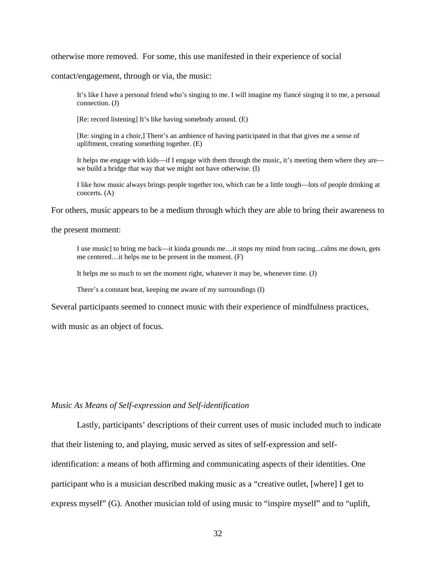otherwise more removed. For some, this use manifested in their experience of social

contact/engagement, through or via, the music:

It's like I have a personal friend who's singing to me. I will imagine my fiancé singing it to me, a personal connection. (J)

[Re: record listening] It's like having somebody around. (E)

[Re: singing in a choir,] There's an ambience of having participated in that that gives me a sense of upliftment, creating something together. (E)

It helps me engage with kids—if I engage with them through the music, it's meeting them where they are we build a bridge that way that we might not have otherwise. (I)

I like how music always brings people together too, which can be a little tough—lots of people drinking at concerts. (A)

For others, music appears to be a medium through which they are able to bring their awareness to

#### the present moment:

I use music] to bring me back—it kinda grounds me…it stops my mind from racing...calms me down, gets me centered…it helps me to be present in the moment. (F)

It helps me so much to set the moment right, whatever it may be, whenever time. (J)

There's a constant beat, keeping me aware of my surroundings (I)

Several participants seemed to connect music with their experience of mindfulness practices,

with music as an object of focus.

### *Music As Means of Self-expression and Self-identification*

 Lastly, participants' descriptions of their current uses of music included much to indicate that their listening to, and playing, music served as sites of self-expression and selfidentification: a means of both affirming and communicating aspects of their identities. One participant who is a musician described making music as a "creative outlet, [where] I get to express myself" (G). Another musician told of using music to "inspire myself" and to "uplift,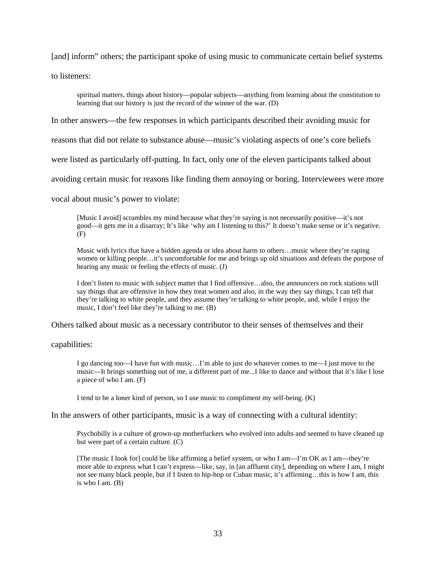[and] inform" others; the participant spoke of using music to communicate certain belief systems

to listeners:

spiritual matters, things about history—popular subjects—anything from learning about the constitution to learning that our history is just the record of the winner of the war. (D)

In other answers—the few responses in which participants described their avoiding music for

reasons that did not relate to substance abuse—music's violating aspects of one's core beliefs

were listed as particularly off-putting. In fact, only one of the eleven participants talked about

avoiding certain music for reasons like finding them annoying or boring. Interviewees were more

vocal about music's power to violate:

[Music I avoid] scrambles my mind because what they're saying is not necessarily positive—it's not good—it gets me in a disarray; It's like 'why am I listening to this?' It doesn't make sense or it's negative. (F)

Music with lyrics that have a hidden agenda or idea about harm to others…music where they're raping women or killing people…it's uncomfortable for me and brings up old situations and defeats the purpose of hearing any music or feeling the effects of music. (J)

I don't listen to music with subject matter that I find offensive…also, the announcers on rock stations will say things that are offensive in how they treat women and also, in the way they say things, I can tell that they're talking to white people, and they assume they're talking to white people, and, while I enjoy the music, I don't feel like they're talking to me. (B)

Others talked about music as a necessary contributor to their senses of themselves and their

capabilities:

I go dancing too—I have fun with music…I'm able to just do whatever comes to me—I just move to the music—It brings something out of me, a different part of me...I like to dance and without that it's like I lose a piece of who I am. (F)

I tend to be a loner kind of person, so I use music to compliment my self-being. (K)

In the answers of other participants, music is a way of connecting with a cultural identity:

 Psychobilly is a culture of grown-up motherfuckers who evolved into adults and seemed to have cleaned up but were part of a certain culture. (C)

[The music I look for] could be like affirming a belief system, or who I am—I'm OK as I am—they're more able to express what I can't express—like, say, in [an affluent city], depending on where I am, I might not see many black people, but if I listen to hip-hop or Cuban music, it's affirming…this is how I am, this is who I am. (B)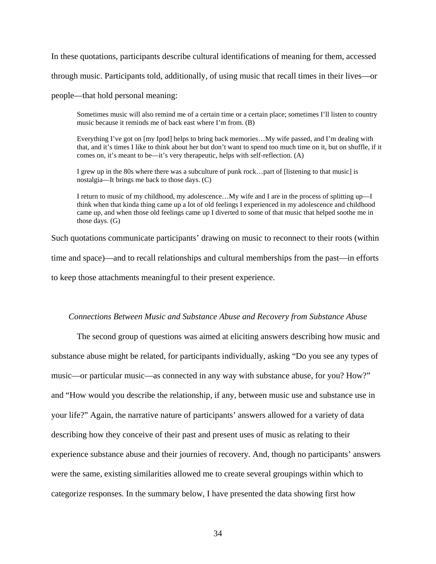In these quotations, participants describe cultural identifications of meaning for them, accessed through music. Participants told, additionally, of using music that recall times in their lives—or

people—that hold personal meaning:

Sometimes music will also remind me of a certain time or a certain place; sometimes I'll listen to country music because it reminds me of back east where I'm from. (B)

Everything I've got on [my Ipod] helps to bring back memories…My wife passed, and I'm dealing with that, and it's times I like to think about her but don't want to spend too much time on it, but on shuffle, if it comes on, it's meant to be—it's very therapeutic, helps with self-reflection. (A)

I grew up in the 80s where there was a subculture of punk rock…part of [listening to that music] is nostalgia—It brings me back to those days. (C)

I return to music of my childhood, my adolescence…My wife and I are in the process of splitting up—I think when that kinda thing came up a lot of old feelings I experienced in my adolescence and childhood came up, and when those old feelings came up I diverted to some of that music that helped soothe me in those days. (G)

Such quotations communicate participants' drawing on music to reconnect to their roots (within time and space)—and to recall relationships and cultural memberships from the past—in efforts to keep those attachments meaningful to their present experience.

### *Connections Between Music and Substance Abuse and Recovery from Substance Abuse*

 The second group of questions was aimed at eliciting answers describing how music and substance abuse might be related, for participants individually, asking "Do you see any types of music—or particular music—as connected in any way with substance abuse, for you? How?" and "How would you describe the relationship, if any, between music use and substance use in your life?" Again, the narrative nature of participants' answers allowed for a variety of data describing how they conceive of their past and present uses of music as relating to their experience substance abuse and their journies of recovery. And, though no participants' answers were the same, existing similarities allowed me to create several groupings within which to categorize responses. In the summary below, I have presented the data showing first how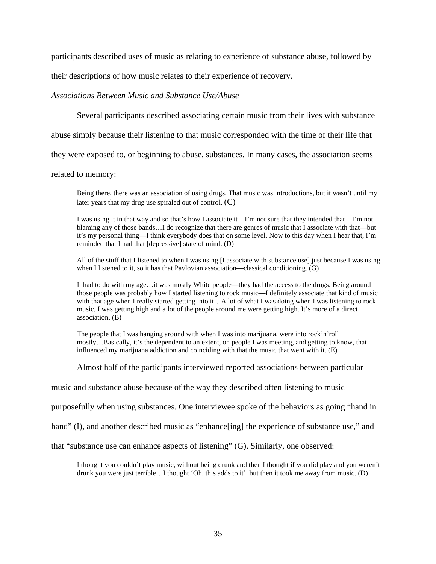participants described uses of music as relating to experience of substance abuse, followed by

their descriptions of how music relates to their experience of recovery.

### *Associations Between Music and Substance Use/Abuse*

Several participants described associating certain music from their lives with substance

abuse simply because their listening to that music corresponded with the time of their life that

they were exposed to, or beginning to abuse, substances. In many cases, the association seems

related to memory:

Being there, there was an association of using drugs. That music was introductions, but it wasn't until my later years that my drug use spiraled out of control.  $(C)$ 

I was using it in that way and so that's how I associate it—I'm not sure that they intended that—I'm not blaming any of those bands…I do recognize that there are genres of music that I associate with that—but it's my personal thing—I think everybody does that on some level. Now to this day when I hear that, I'm reminded that I had that [depressive] state of mind. (D)

All of the stuff that I listened to when I was using [I associate with substance use] just because I was using when I listened to it, so it has that Pavlovian association—classical conditioning. (G)

It had to do with my age…it was mostly White people—they had the access to the drugs. Being around those people was probably how I started listening to rock music—I definitely associate that kind of music with that age when I really started getting into it…A lot of what I was doing when I was listening to rock music, I was getting high and a lot of the people around me were getting high. It's more of a direct association. (B)

The people that I was hanging around with when I was into marijuana, were into rock'n'roll mostly…Basically, it's the dependent to an extent, on people I was meeting, and getting to know, that influenced my marijuana addiction and coinciding with that the music that went with it. (E)

Almost half of the participants interviewed reported associations between particular

music and substance abuse because of the way they described often listening to music

purposefully when using substances. One interviewee spoke of the behaviors as going "hand in

hand" (I), and another described music as "enhance [ing] the experience of substance use," and

that "substance use can enhance aspects of listening" (G). Similarly, one observed:

I thought you couldn't play music, without being drunk and then I thought if you did play and you weren't drunk you were just terrible…I thought 'Oh, this adds to it', but then it took me away from music. (D)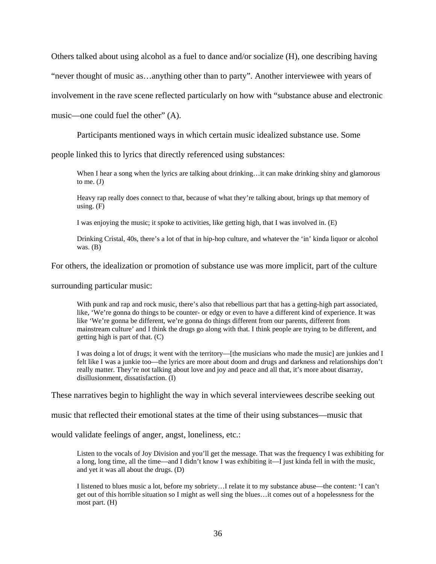Others talked about using alcohol as a fuel to dance and/or socialize (H), one describing having

"never thought of music as…anything other than to party". Another interviewee with years of

involvement in the rave scene reflected particularly on how with "substance abuse and electronic

music—one could fuel the other" (A).

Participants mentioned ways in which certain music idealized substance use. Some

people linked this to lyrics that directly referenced using substances:

When I hear a song when the lyrics are talking about drinking…it can make drinking shiny and glamorous to me.  $(J)$ 

Heavy rap really does connect to that, because of what they're talking about, brings up that memory of using.  $(F)$ 

I was enjoying the music; it spoke to activities, like getting high, that I was involved in. (E)

Drinking Cristal, 40s, there's a lot of that in hip-hop culture, and whatever the 'in' kinda liquor or alcohol was. (B)

For others, the idealization or promotion of substance use was more implicit, part of the culture

surrounding particular music:

With punk and rap and rock music, there's also that rebellious part that has a getting-high part associated, like, 'We're gonna do things to be counter- or edgy or even to have a different kind of experience. It was like 'We're gonna be different, we're gonna do things different from our parents, different from mainstream culture' and I think the drugs go along with that. I think people are trying to be different, and getting high is part of that. (C)

I was doing a lot of drugs; it went with the territory—[the musicians who made the music] are junkies and I felt like I was a junkie too—the lyrics are more about doom and drugs and darkness and relationships don't really matter. They're not talking about love and joy and peace and all that, it's more about disarray, disillusionment, dissatisfaction. (I)

These narratives begin to highlight the way in which several interviewees describe seeking out

music that reflected their emotional states at the time of their using substances—music that

would validate feelings of anger, angst, loneliness, etc.:

Listen to the vocals of Joy Division and you'll get the message. That was the frequency I was exhibiting for a long, long time, all the time—and I didn't know I was exhibiting it—I just kinda fell in with the music, and yet it was all about the drugs. (D)

I listened to blues music a lot, before my sobriety…I relate it to my substance abuse—the content: 'I can't get out of this horrible situation so I might as well sing the blues…it comes out of a hopelessness for the most part. (H)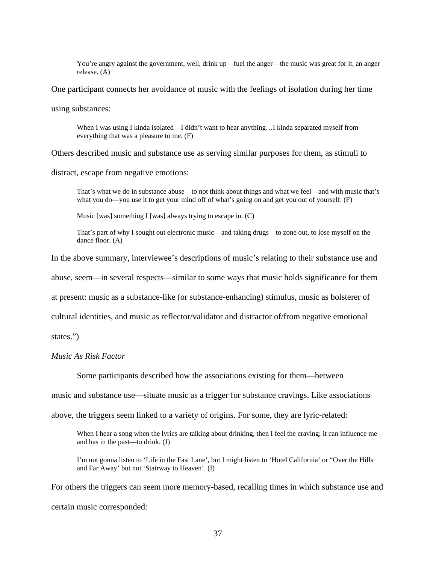You're angry against the government, well, drink up—fuel the anger—the music was great for it, an anger release. (A)

One participant connects her avoidance of music with the feelings of isolation during her time

using substances:

When I was using I kinda isolated—I didn't want to hear anything...I kinda separated myself from everything that was a pleasure to me. (F)

Others described music and substance use as serving similar purposes for them, as stimuli to

distract, escape from negative emotions:

That's what we do in substance abuse—to not think about things and what we feel—and with music that's what you do—you use it to get your mind off of what's going on and get you out of yourself. (F)

Music [was] something I [was] always trying to escape in. (C)

That's part of why I sought out electronic music—and taking drugs—to zone out, to lose myself on the dance floor. (A)

In the above summary, interviewee's descriptions of music's relating to their substance use and

abuse, seem—in several respects—similar to some ways that music holds significance for them

at present: music as a substance-like (or substance-enhancing) stimulus, music as bolsterer of

cultural identities, and music as reflector/validator and distractor of/from negative emotional

states.")

*Music As Risk Factor* 

Some participants described how the associations existing for them—between

music and substance use—situate music as a trigger for substance cravings. Like associations

above, the triggers seem linked to a variety of origins. For some, they are lyric-related:

When I hear a song when the lyrics are talking about drinking, then I feel the craving; it can influence me and has in the past—to drink. (J)

I'm not gonna listen to 'Life in the Fast Lane', but I might listen to 'Hotel California' or "Over the Hills and Far Away' but not 'Stairway to Heaven'. (I)

For others the triggers can seem more memory-based, recalling times in which substance use and certain music corresponded: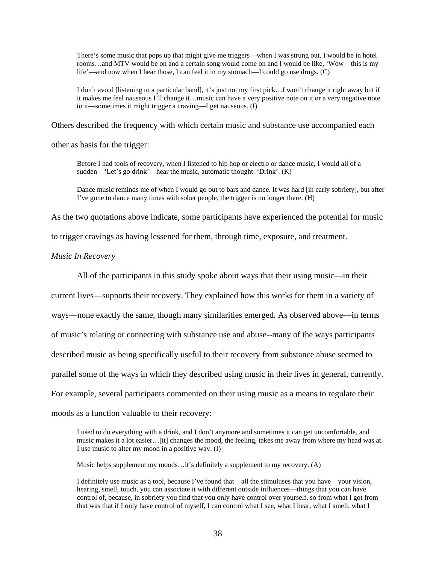There's some music that pops up that might give me triggers—when I was strung out, I would be in hotel rooms…and MTV would be on and a certain song would come on and I would be like, 'Wow—this is my life'—and now when I hear those, I can feel it in my stomach—I could go use drugs. (C)

I don't avoid [listening to a particular band], it's just not my first pick…I won't change it right away but if it makes me feel nauseous I'll change it…music can have a very positive note on it or a very negative note to it—sometimes it might trigger a craving—I get nauseous. (I)

Others described the frequency with which certain music and substance use accompanied each

other as basis for the trigger:

Before I had tools of recovery, when I listened to hip hop or electro or dance music, I would all of a sudden—'Let's go drink'—hear the music, automatic thought: 'Drink'. (K)

 Dance music reminds me of when I would go out to bars and dance. It was hard [in early sobriety], but after I've gone to dance many times with sober people, the trigger is no longer there. (H)

As the two quotations above indicate, some participants have experienced the potential for music

to trigger cravings as having lessened for them, through time, exposure, and treatment.

*Music In Recovery* 

All of the participants in this study spoke about ways that their using music—in their

current lives—supports their recovery. They explained how this works for them in a variety of

ways—none exactly the same, though many similarities emerged. As observed above—in terms

of music's relating or connecting with substance use and abuse--many of the ways participants

described music as being specifically useful to their recovery from substance abuse seemed to

parallel some of the ways in which they described using music in their lives in general, currently.

For example, several participants commented on their using music as a means to regulate their

moods as a function valuable to their recovery:

I used to do everything with a drink, and I don't anymore and sometimes it can get uncomfortable, and music makes it a lot easier…[it] changes the mood, the feeling, takes me away from where my head was at. I use music to alter my mood in a positive way. (I)

Music helps supplement my moods…it's definitely a supplement to my recovery. (A)

I definitely use music as a tool, because I've found that—all the stimuluses that you have—your vision, hearing, smell, touch, you can associate it with different outside influences—things that you can have control of, because, in sobriety you find that you only have control over yourself, so from what I got from that was that if I only have control of myself, I can control what I see, what I hear, what I smell, what I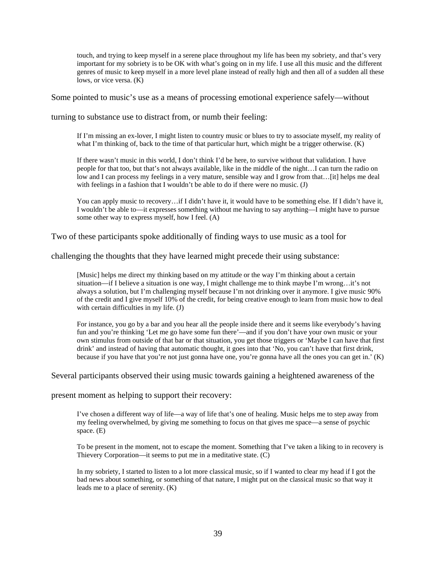touch, and trying to keep myself in a serene place throughout my life has been my sobriety, and that's very important for my sobriety is to be OK with what's going on in my life. I use all this music and the different genres of music to keep myself in a more level plane instead of really high and then all of a sudden all these lows, or vice versa. (K)

Some pointed to music's use as a means of processing emotional experience safely—without

turning to substance use to distract from, or numb their feeling:

If I'm missing an ex-lover, I might listen to country music or blues to try to associate myself, my reality of what I'm thinking of, back to the time of that particular hurt, which might be a trigger otherwise. (K)

If there wasn't music in this world, I don't think I'd be here, to survive without that validation. I have people for that too, but that's not always available, like in the middle of the night…I can turn the radio on low and I can process my feelings in a very mature, sensible way and I grow from that…[it] helps me deal with feelings in a fashion that I wouldn't be able to do if there were no music. (J)

You can apply music to recovery…if I didn't have it, it would have to be something else. If I didn't have it, I wouldn't be able to—it expresses something without me having to say anything—I might have to pursue some other way to express myself, how I feel. (A)

Two of these participants spoke additionally of finding ways to use music as a tool for

challenging the thoughts that they have learned might precede their using substance:

[Music] helps me direct my thinking based on my attitude or the way I'm thinking about a certain situation—if I believe a situation is one way, I might challenge me to think maybe I'm wrong…it's not always a solution, but I'm challenging myself because I'm not drinking over it anymore. I give music 90% of the credit and I give myself 10% of the credit, for being creative enough to learn from music how to deal with certain difficulties in my life. (J)

For instance, you go by a bar and you hear all the people inside there and it seems like everybody's having fun and you're thinking 'Let me go have some fun there'—and if you don't have your own music or your own stimulus from outside of that bar or that situation, you get those triggers or 'Maybe I can have that first drink' and instead of having that automatic thought, it goes into that 'No, you can't have that first drink, because if you have that you're not just gonna have one, you're gonna have all the ones you can get in.' (K)

Several participants observed their using music towards gaining a heightened awareness of the

present moment as helping to support their recovery:

I've chosen a different way of life—a way of life that's one of healing. Music helps me to step away from my feeling overwhelmed, by giving me something to focus on that gives me space—a sense of psychic space. (E)

To be present in the moment, not to escape the moment. Something that I've taken a liking to in recovery is Thievery Corporation—it seems to put me in a meditative state. (C)

In my sobriety, I started to listen to a lot more classical music, so if I wanted to clear my head if I got the bad news about something, or something of that nature, I might put on the classical music so that way it leads me to a place of serenity. (K)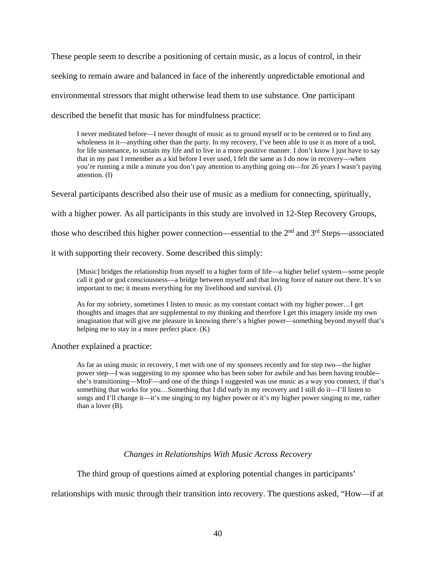These people seem to describe a positioning of certain music, as a locus of control, in their seeking to remain aware and balanced in face of the inherently unpredictable emotional and environmental stressors that might otherwise lead them to use substance. One participant described the benefit that music has for mindfulness practice:

I never meditated before—I never thought of music as to ground myself or to be centered or to find any wholeness in it—anything other than the party. In my recovery, I've been able to use it as more of a tool, for life sustenance, to sustain my life and to live in a more positive manner. I don't know I just have to say that in my past I remember as a kid before I ever used, I felt the same as I do now in recovery—when you're running a mile a minute you don't pay attention to anything going on—for 26 years I wasn't paying attention. (I)

Several participants described also their use of music as a medium for connecting, spiritually,

with a higher power. As all participants in this study are involved in 12-Step Recovery Groups,

those who described this higher power connection—essential to the  $2<sup>nd</sup>$  and  $3<sup>rd</sup>$  Steps—associated

it with supporting their recovery. Some described this simply:

[Music] bridges the relationship from myself to a higher form of life—a higher belief system—some people call it god or god consciousness—a bridge between myself and that loving force of nature out there. It's so important to me; it means everything for my livelihood and survival. (J)

As for my sobriety, sometimes I listen to music as my constant contact with my higher power…I get thoughts and images that are supplemental to my thinking and therefore I get this imagery inside my own imagination that will give me pleasure in knowing there's a higher power—something beyond myself that's helping me to stay in a more perfect place. (K)

Another explained a practice:

As far as using music in recovery, I met with one of my sponsees recently and for step two—the higher power step—I was suggesting to my sponsee who has been sober for awhile and has been having trouble- she's transitioning—MtoF—and one of the things I suggested was use music as a way you connect, if that's something that works for you…Something that I did early in my recovery and I still do it—I'll listen to songs and I'll change it—it's me singing to my higher power or it's my higher power singing to me, rather than a lover (B).

# *Changes in Relationships With Music Across Recovery*

The third group of questions aimed at exploring potential changes in participants'

relationships with music through their transition into recovery. The questions asked, "How—if at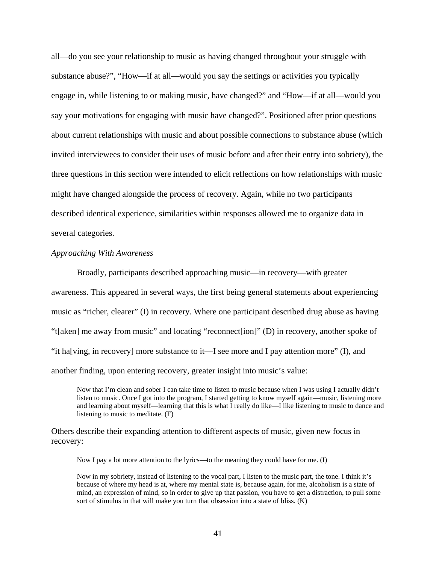all—do you see your relationship to music as having changed throughout your struggle with substance abuse?", "How—if at all—would you say the settings or activities you typically engage in, while listening to or making music, have changed?" and "How—if at all—would you say your motivations for engaging with music have changed?". Positioned after prior questions about current relationships with music and about possible connections to substance abuse (which invited interviewees to consider their uses of music before and after their entry into sobriety), the three questions in this section were intended to elicit reflections on how relationships with music might have changed alongside the process of recovery. Again, while no two participants described identical experience, similarities within responses allowed me to organize data in several categories.

### *Approaching With Awareness*

 Broadly, participants described approaching music—in recovery—with greater awareness. This appeared in several ways, the first being general statements about experiencing music as "richer, clearer" (I) in recovery. Where one participant described drug abuse as having "t[aken] me away from music" and locating "reconnect[ion]" (D) in recovery, another spoke of "it ha[ving, in recovery] more substance to it—I see more and I pay attention more" (I), and another finding, upon entering recovery, greater insight into music's value:

Now that I'm clean and sober I can take time to listen to music because when I was using I actually didn't listen to music. Once I got into the program, I started getting to know myself again—music, listening more and learning about myself—learning that this is what I really do like—I like listening to music to dance and listening to music to meditate. (F)

Others describe their expanding attention to different aspects of music, given new focus in recovery:

Now I pay a lot more attention to the lyrics—to the meaning they could have for me. (I)

Now in my sobriety, instead of listening to the vocal part, I listen to the music part, the tone. I think it's because of where my head is at, where my mental state is, because again, for me, alcoholism is a state of mind, an expression of mind, so in order to give up that passion, you have to get a distraction, to pull some sort of stimulus in that will make you turn that obsession into a state of bliss. (K)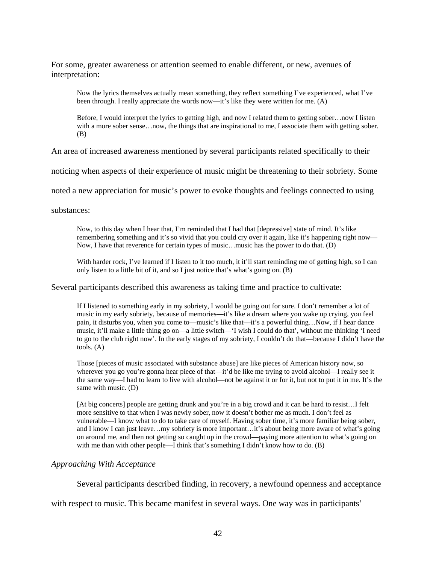For some, greater awareness or attention seemed to enable different, or new, avenues of interpretation:

Now the lyrics themselves actually mean something, they reflect something I've experienced, what I've been through. I really appreciate the words now—it's like they were written for me. (A)

Before, I would interpret the lyrics to getting high, and now I related them to getting sober…now I listen with a more sober sense...now, the things that are inspirational to me, I associate them with getting sober. (B)

An area of increased awareness mentioned by several participants related specifically to their

noticing when aspects of their experience of music might be threatening to their sobriety. Some

noted a new appreciation for music's power to evoke thoughts and feelings connected to using

substances:

Now, to this day when I hear that, I'm reminded that I had that [depressive] state of mind. It's like remembering something and it's so vivid that you could cry over it again, like it's happening right now— Now, I have that reverence for certain types of music…music has the power to do that. (D)

With harder rock, I've learned if I listen to it too much, it it'll start reminding me of getting high, so I can only listen to a little bit of it, and so I just notice that's what's going on. (B)

Several participants described this awareness as taking time and practice to cultivate:

If I listened to something early in my sobriety, I would be going out for sure. I don't remember a lot of music in my early sobriety, because of memories—it's like a dream where you wake up crying, you feel pain, it disturbs you, when you come to—music's like that—it's a powerful thing…Now, if I hear dance music, it'll make a little thing go on—a little switch—'I wish I could do that', without me thinking 'I need to go to the club right now'. In the early stages of my sobriety, I couldn't do that—because I didn't have the tools. (A)

Those [pieces of music associated with substance abuse] are like pieces of American history now, so wherever you go you're gonna hear piece of that—it'd be like me trying to avoid alcohol—I really see it the same way—I had to learn to live with alcohol—not be against it or for it, but not to put it in me. It's the same with music. (D)

[At big concerts] people are getting drunk and you're in a big crowd and it can be hard to resist…I felt more sensitive to that when I was newly sober, now it doesn't bother me as much. I don't feel as vulnerable—I know what to do to take care of myself. Having sober time, it's more familiar being sober, and I know I can just leave…my sobriety is more important…it's about being more aware of what's going on around me, and then not getting so caught up in the crowd—paying more attention to what's going on with me than with other people—I think that's something I didn't know how to do. (B)

### *Approaching With Acceptance*

Several participants described finding, in recovery, a newfound openness and acceptance

with respect to music. This became manifest in several ways. One way was in participants'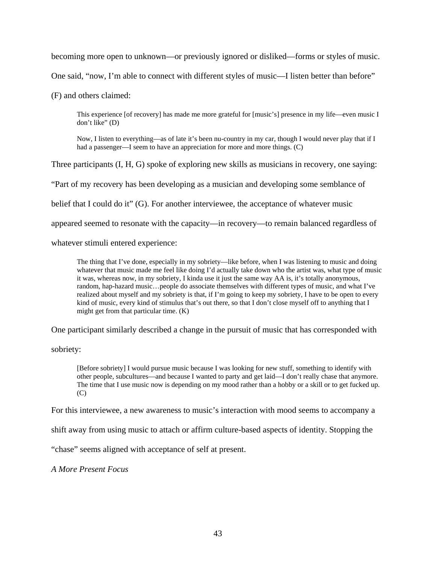becoming more open to unknown—or previously ignored or disliked—forms or styles of music.

One said, "now, I'm able to connect with different styles of music—I listen better than before"

(F) and others claimed:

This experience [of recovery] has made me more grateful for [music's] presence in my life—even music I don't like" (D)

Now, I listen to everything—as of late it's been nu-country in my car, though I would never play that if I had a passenger—I seem to have an appreciation for more and more things. (C)

Three participants (I, H, G) spoke of exploring new skills as musicians in recovery, one saying:

"Part of my recovery has been developing as a musician and developing some semblance of

belief that I could do it" (G). For another interviewee, the acceptance of whatever music

appeared seemed to resonate with the capacity—in recovery—to remain balanced regardless of

whatever stimuli entered experience:

The thing that I've done, especially in my sobriety—like before, when I was listening to music and doing whatever that music made me feel like doing I'd actually take down who the artist was, what type of music it was, whereas now, in my sobriety, I kinda use it just the same way AA is, it's totally anonymous, random, hap-hazard music…people do associate themselves with different types of music, and what I've realized about myself and my sobriety is that, if I'm going to keep my sobriety, I have to be open to every kind of music, every kind of stimulus that's out there, so that I don't close myself off to anything that I might get from that particular time. (K)

One participant similarly described a change in the pursuit of music that has corresponded with

sobriety:

[Before sobriety] I would pursue music because I was looking for new stuff, something to identify with other people, subcultures—and because I wanted to party and get laid—I don't really chase that anymore. The time that I use music now is depending on my mood rather than a hobby or a skill or to get fucked up.  $(C)$ 

For this interviewee, a new awareness to music's interaction with mood seems to accompany a

shift away from using music to attach or affirm culture-based aspects of identity. Stopping the

"chase" seems aligned with acceptance of self at present.

*A More Present Focus*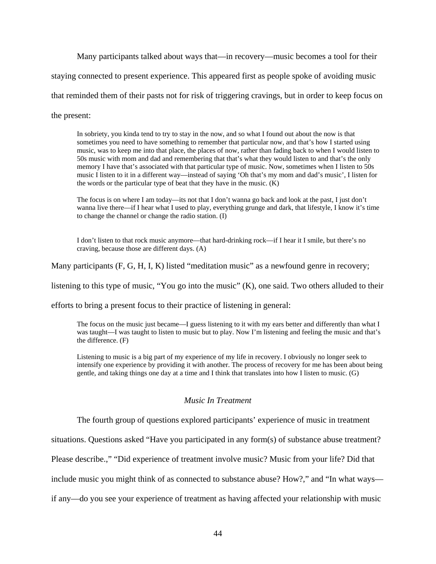Many participants talked about ways that—in recovery—music becomes a tool for their

staying connected to present experience. This appeared first as people spoke of avoiding music

that reminded them of their pasts not for risk of triggering cravings, but in order to keep focus on

the present:

In sobriety, you kinda tend to try to stay in the now, and so what I found out about the now is that sometimes you need to have something to remember that particular now, and that's how I started using music, was to keep me into that place, the places of now, rather than fading back to when I would listen to 50s music with mom and dad and remembering that that's what they would listen to and that's the only memory I have that's associated with that particular type of music. Now, sometimes when I listen to 50s music I listen to it in a different way—instead of saying 'Oh that's my mom and dad's music', I listen for the words or the particular type of beat that they have in the music. (K)

The focus is on where I am today—its not that I don't wanna go back and look at the past, I just don't wanna live there—if I hear what I used to play, everything grunge and dark, that lifestyle, I know it's time to change the channel or change the radio station. (I)

I don't listen to that rock music anymore—that hard-drinking rock—if I hear it I smile, but there's no craving, because those are different days. (A)

Many participants (F, G, H, I, K) listed "meditation music" as a newfound genre in recovery;

listening to this type of music, "You go into the music" (K), one said. Two others alluded to their

efforts to bring a present focus to their practice of listening in general:

The focus on the music just became—I guess listening to it with my ears better and differently than what I was taught—I was taught to listen to music but to play. Now I'm listening and feeling the music and that's the difference. (F)

Listening to music is a big part of my experience of my life in recovery. I obviously no longer seek to intensify one experience by providing it with another. The process of recovery for me has been about being gentle, and taking things one day at a time and I think that translates into how I listen to music. (G)

# *Music In Treatment*

The fourth group of questions explored participants' experience of music in treatment

situations. Questions asked "Have you participated in any form(s) of substance abuse treatment?

Please describe.," "Did experience of treatment involve music? Music from your life? Did that

include music you might think of as connected to substance abuse? How?," and "In what ways—

if any—do you see your experience of treatment as having affected your relationship with music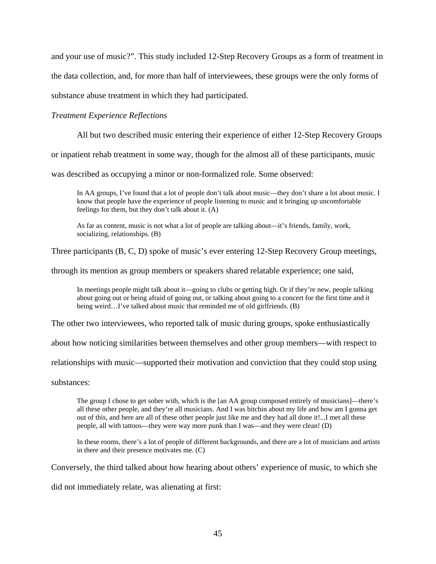and your use of music?". This study included 12-Step Recovery Groups as a form of treatment in

the data collection, and, for more than half of interviewees, these groups were the only forms of

substance abuse treatment in which they had participated.

## *Treatment Experience Reflections*

All but two described music entering their experience of either 12-Step Recovery Groups

or inpatient rehab treatment in some way, though for the almost all of these participants, music

was described as occupying a minor or non-formalized role. Some observed:

In AA groups, I've found that a lot of people don't talk about music—they don't share a lot about music. I know that people have the experience of people listening to music and it bringing up uncomfortable feelings for them, but they don't talk about it. (A)

As far as content, music is not what a lot of people are talking about—it's friends, family, work, socializing, relationships. (B)

Three participants (B, C, D) spoke of music's ever entering 12-Step Recovery Group meetings,

through its mention as group members or speakers shared relatable experience; one said,

In meetings people might talk about it—going to clubs or getting high. Or if they're new, people talking about going out or being afraid of going out, or talking about going to a concert for the first time and it being weird...I've talked about music that reminded me of old girlfriends. (B)

The other two interviewees, who reported talk of music during groups, spoke enthusiastically

about how noticing similarities between themselves and other group members—with respect to

relationships with music—supported their motivation and conviction that they could stop using

substances:

The group I chose to get sober with, which is the [an AA group composed entirely of musicians]—there's all these other people, and they're all musicians. And I was bitchin about my life and how am I gonna get out of this, and here are all of these other people just like me and they had all done it!...I met all these people, all with tattoos—they were way more punk than I was—and they were clean! (D)

In these rooms, there's a lot of people of different backgrounds, and there are a lot of musicians and artists in there and their presence motivates me. (C)

Conversely, the third talked about how hearing about others' experience of music, to which she

did not immediately relate, was alienating at first: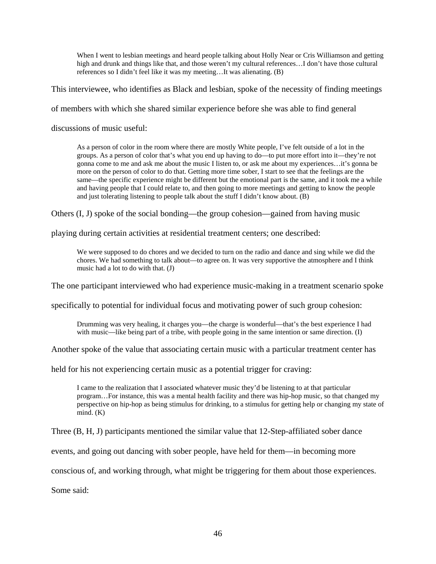When I went to lesbian meetings and heard people talking about Holly Near or Cris Williamson and getting high and drunk and things like that, and those weren't my cultural references…I don't have those cultural references so I didn't feel like it was my meeting…It was alienating. (B)

This interviewee, who identifies as Black and lesbian, spoke of the necessity of finding meetings

of members with which she shared similar experience before she was able to find general

discussions of music useful:

As a person of color in the room where there are mostly White people, I've felt outside of a lot in the groups. As a person of color that's what you end up having to do—to put more effort into it—they're not gonna come to me and ask me about the music I listen to, or ask me about my experiences…it's gonna be more on the person of color to do that. Getting more time sober, I start to see that the feelings are the same—the specific experience might be different but the emotional part is the same, and it took me a while and having people that I could relate to, and then going to more meetings and getting to know the people and just tolerating listening to people talk about the stuff I didn't know about. (B)

Others (I, J) spoke of the social bonding—the group cohesion—gained from having music

playing during certain activities at residential treatment centers; one described:

We were supposed to do chores and we decided to turn on the radio and dance and sing while we did the chores. We had something to talk about—to agree on. It was very supportive the atmosphere and I think music had a lot to do with that. (J)

The one participant interviewed who had experience music-making in a treatment scenario spoke

specifically to potential for individual focus and motivating power of such group cohesion:

Drumming was very healing, it charges you—the charge is wonderful—that's the best experience I had with music—like being part of a tribe, with people going in the same intention or same direction. (I)

Another spoke of the value that associating certain music with a particular treatment center has

held for his not experiencing certain music as a potential trigger for craving:

I came to the realization that I associated whatever music they'd be listening to at that particular program…For instance, this was a mental health facility and there was hip-hop music, so that changed my perspective on hip-hop as being stimulus for drinking, to a stimulus for getting help or changing my state of  $mind. (K)$ 

Three (B, H, J) participants mentioned the similar value that 12-Step-affiliated sober dance

events, and going out dancing with sober people, have held for them—in becoming more

conscious of, and working through, what might be triggering for them about those experiences.

Some said: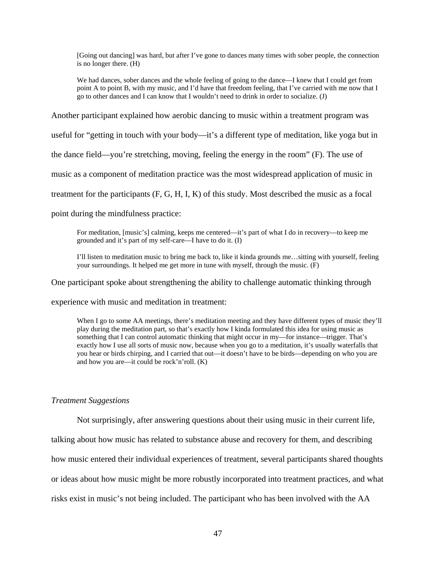[Going out dancing] was hard, but after I've gone to dances many times with sober people, the connection is no longer there. (H)

We had dances, sober dances and the whole feeling of going to the dance—I knew that I could get from point A to point B, with my music, and I'd have that freedom feeling, that I've carried with me now that I go to other dances and I can know that I wouldn't need to drink in order to socialize. (J)

Another participant explained how aerobic dancing to music within a treatment program was

useful for "getting in touch with your body—it's a different type of meditation, like yoga but in

the dance field—you're stretching, moving, feeling the energy in the room" (F). The use of

music as a component of meditation practice was the most widespread application of music in

treatment for the participants (F, G, H, I, K) of this study. Most described the music as a focal

point during the mindfulness practice:

For meditation, [music's] calming, keeps me centered—it's part of what I do in recovery—to keep me grounded and it's part of my self-care—I have to do it. (I)

I'll listen to meditation music to bring me back to, like it kinda grounds me…sitting with yourself, feeling your surroundings. It helped me get more in tune with myself, through the music. (F)

One participant spoke about strengthening the ability to challenge automatic thinking through

experience with music and meditation in treatment:

When I go to some AA meetings, there's meditation meeting and they have different types of music they'll play during the meditation part, so that's exactly how I kinda formulated this idea for using music as something that I can control automatic thinking that might occur in my—for instance—trigger. That's exactly how I use all sorts of music now, because when you go to a meditation, it's usually waterfalls that you hear or birds chirping, and I carried that out—it doesn't have to be birds—depending on who you are and how you are—it could be rock'n'roll. (K)

## *Treatment Suggestions*

Not surprisingly, after answering questions about their using music in their current life,

talking about how music has related to substance abuse and recovery for them, and describing

how music entered their individual experiences of treatment, several participants shared thoughts

or ideas about how music might be more robustly incorporated into treatment practices, and what

risks exist in music's not being included. The participant who has been involved with the AA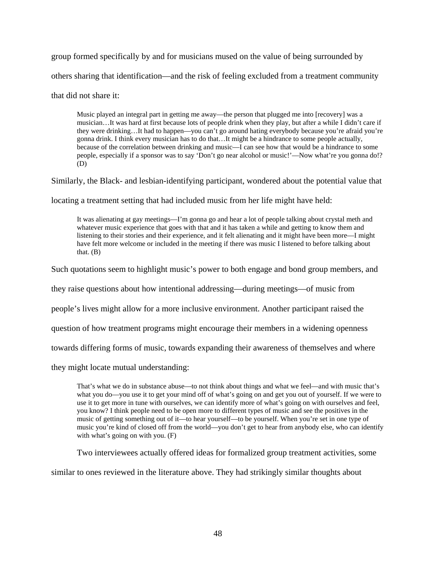group formed specifically by and for musicians mused on the value of being surrounded by others sharing that identification—and the risk of feeling excluded from a treatment community

that did not share it:

Music played an integral part in getting me away—the person that plugged me into [recovery] was a musician…It was hard at first because lots of people drink when they play, but after a while I didn't care if they were drinking…It had to happen—you can't go around hating everybody because you're afraid you're gonna drink. I think every musician has to do that…It might be a hindrance to some people actually, because of the correlation between drinking and music—I can see how that would be a hindrance to some people, especially if a sponsor was to say 'Don't go near alcohol or music!'—Now what're you gonna do!? (D)

Similarly, the Black- and lesbian-identifying participant, wondered about the potential value that

locating a treatment setting that had included music from her life might have held:

It was alienating at gay meetings—I'm gonna go and hear a lot of people talking about crystal meth and whatever music experience that goes with that and it has taken a while and getting to know them and listening to their stories and their experience, and it felt alienating and it might have been more—I might have felt more welcome or included in the meeting if there was music I listened to before talking about that.  $(B)$ 

Such quotations seem to highlight music's power to both engage and bond group members, and

they raise questions about how intentional addressing—during meetings—of music from

people's lives might allow for a more inclusive environment. Another participant raised the

question of how treatment programs might encourage their members in a widening openness

towards differing forms of music, towards expanding their awareness of themselves and where

they might locate mutual understanding:

That's what we do in substance abuse—to not think about things and what we feel—and with music that's what you do—you use it to get your mind off of what's going on and get you out of yourself. If we were to use it to get more in tune with ourselves, we can identify more of what's going on with ourselves and feel, you know? I think people need to be open more to different types of music and see the positives in the music of getting something out of it—to hear yourself—to be yourself. When you're set in one type of music you're kind of closed off from the world—you don't get to hear from anybody else, who can identify with what's going on with you. (F)

Two interviewees actually offered ideas for formalized group treatment activities, some

similar to ones reviewed in the literature above. They had strikingly similar thoughts about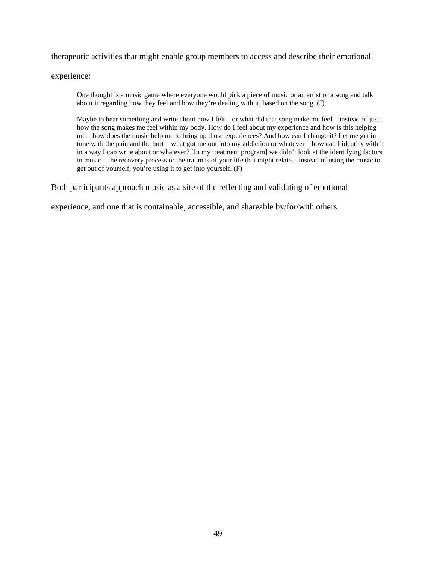therapeutic activities that might enable group members to access and describe their emotional

experience:

One thought is a music game where everyone would pick a piece of music or an artist or a song and talk about it regarding how they feel and how they're dealing with it, based on the song. (J)

Maybe to hear something and write about how I felt—or what did that song make me feel—instead of just how the song makes me feel within my body. How do I feel about my experience and how is this helping me—how does the music help me to bring up those experiences? And how can I change it? Let me get in tune with the pain and the hurt—what got me out into my addiction or whatever—how can I identify with it in a way I can write about or whatever? [In my treatment program] we didn't look at the identifying factors in music—the recovery process or the traumas of your life that might relate…instead of using the music to get out of yourself, you're using it to get into yourself. (F)

Both participants approach music as a site of the reflecting and validating of emotional

experience, and one that is containable, accessible, and shareable by/for/with others.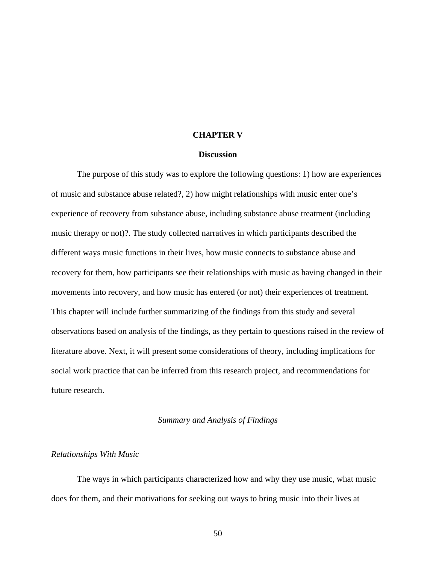# **CHAPTER V**

### **Discussion**

The purpose of this study was to explore the following questions: 1) how are experiences of music and substance abuse related?, 2) how might relationships with music enter one's experience of recovery from substance abuse, including substance abuse treatment (including music therapy or not)?. The study collected narratives in which participants described the different ways music functions in their lives, how music connects to substance abuse and recovery for them, how participants see their relationships with music as having changed in their movements into recovery, and how music has entered (or not) their experiences of treatment. This chapter will include further summarizing of the findings from this study and several observations based on analysis of the findings, as they pertain to questions raised in the review of literature above. Next, it will present some considerations of theory, including implications for social work practice that can be inferred from this research project, and recommendations for future research.

### *Summary and Analysis of Findings*

### *Relationships With Music*

 The ways in which participants characterized how and why they use music, what music does for them, and their motivations for seeking out ways to bring music into their lives at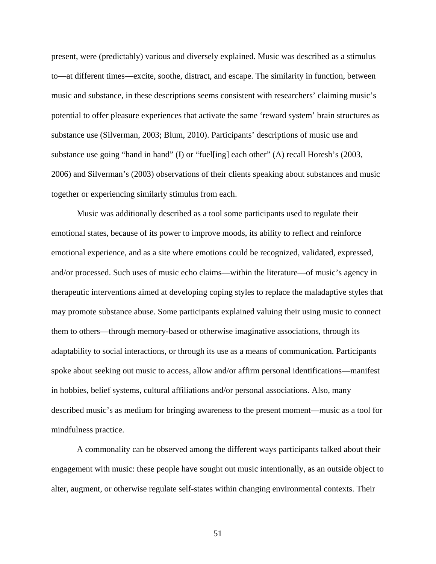present, were (predictably) various and diversely explained. Music was described as a stimulus to—at different times—excite, soothe, distract, and escape. The similarity in function, between music and substance, in these descriptions seems consistent with researchers' claiming music's potential to offer pleasure experiences that activate the same 'reward system' brain structures as substance use (Silverman, 2003; Blum, 2010). Participants' descriptions of music use and substance use going "hand in hand" (I) or "fuel[ing] each other" (A) recall Horesh's (2003, 2006) and Silverman's (2003) observations of their clients speaking about substances and music together or experiencing similarly stimulus from each.

Music was additionally described as a tool some participants used to regulate their emotional states, because of its power to improve moods, its ability to reflect and reinforce emotional experience, and as a site where emotions could be recognized, validated, expressed, and/or processed. Such uses of music echo claims—within the literature—of music's agency in therapeutic interventions aimed at developing coping styles to replace the maladaptive styles that may promote substance abuse. Some participants explained valuing their using music to connect them to others—through memory-based or otherwise imaginative associations, through its adaptability to social interactions, or through its use as a means of communication. Participants spoke about seeking out music to access, allow and/or affirm personal identifications—manifest in hobbies, belief systems, cultural affiliations and/or personal associations. Also, many described music's as medium for bringing awareness to the present moment—music as a tool for mindfulness practice.

A commonality can be observed among the different ways participants talked about their engagement with music: these people have sought out music intentionally, as an outside object to alter, augment, or otherwise regulate self-states within changing environmental contexts. Their

51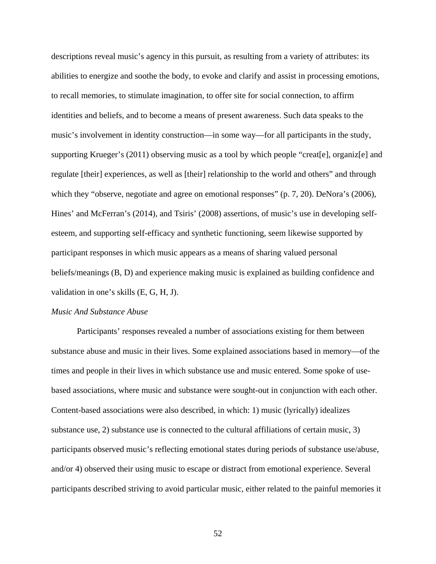descriptions reveal music's agency in this pursuit, as resulting from a variety of attributes: its abilities to energize and soothe the body, to evoke and clarify and assist in processing emotions, to recall memories, to stimulate imagination, to offer site for social connection, to affirm identities and beliefs, and to become a means of present awareness. Such data speaks to the music's involvement in identity construction—in some way—for all participants in the study, supporting Krueger's (2011) observing music as a tool by which people "creat[e], organiz[e] and regulate [their] experiences, as well as [their] relationship to the world and others" and through which they "observe, negotiate and agree on emotional responses" (p. 7, 20). DeNora's (2006), Hines' and McFerran's (2014), and Tsiris' (2008) assertions, of music's use in developing selfesteem, and supporting self-efficacy and synthetic functioning, seem likewise supported by participant responses in which music appears as a means of sharing valued personal beliefs/meanings (B, D) and experience making music is explained as building confidence and validation in one's skills (E, G, H, J).

### *Music And Substance Abuse*

 Participants' responses revealed a number of associations existing for them between substance abuse and music in their lives. Some explained associations based in memory—of the times and people in their lives in which substance use and music entered. Some spoke of usebased associations, where music and substance were sought-out in conjunction with each other. Content-based associations were also described, in which: 1) music (lyrically) idealizes substance use, 2) substance use is connected to the cultural affiliations of certain music, 3) participants observed music's reflecting emotional states during periods of substance use/abuse, and/or 4) observed their using music to escape or distract from emotional experience. Several participants described striving to avoid particular music, either related to the painful memories it

52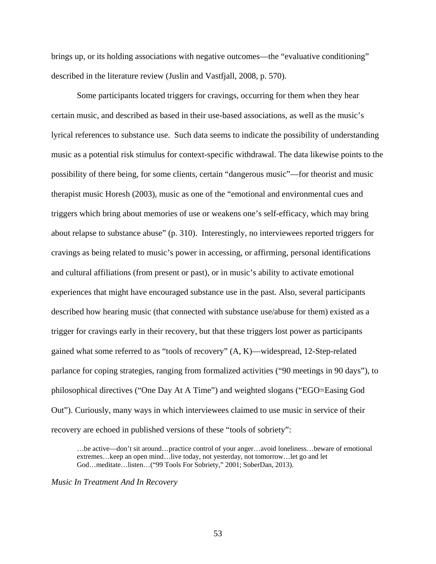brings up, or its holding associations with negative outcomes—the "evaluative conditioning" described in the literature review (Juslin and Vastfjall, 2008, p. 570).

Some participants located triggers for cravings, occurring for them when they hear certain music, and described as based in their use-based associations, as well as the music's lyrical references to substance use. Such data seems to indicate the possibility of understanding music as a potential risk stimulus for context-specific withdrawal. The data likewise points to the possibility of there being, for some clients, certain "dangerous music"—for theorist and music therapist music Horesh (2003), music as one of the "emotional and environmental cues and triggers which bring about memories of use or weakens one's self-efficacy, which may bring about relapse to substance abuse" (p. 310). Interestingly, no interviewees reported triggers for cravings as being related to music's power in accessing, or affirming, personal identifications and cultural affiliations (from present or past), or in music's ability to activate emotional experiences that might have encouraged substance use in the past. Also, several participants described how hearing music (that connected with substance use/abuse for them) existed as a trigger for cravings early in their recovery, but that these triggers lost power as participants gained what some referred to as "tools of recovery" (A, K)—widespread, 12-Step-related parlance for coping strategies, ranging from formalized activities ("90 meetings in 90 days"), to philosophical directives ("One Day At A Time") and weighted slogans ("EGO=Easing God Out"). Curiously, many ways in which interviewees claimed to use music in service of their recovery are echoed in published versions of these "tools of sobriety":

…be active—don't sit around…practice control of your anger…avoid loneliness…beware of emotional extremes…keep an open mind…live today, not yesterday, not tomorrow…let go and let God…meditate…listen…("99 Tools For Sobriety," 2001; SoberDan, 2013).

*Music In Treatment And In Recovery*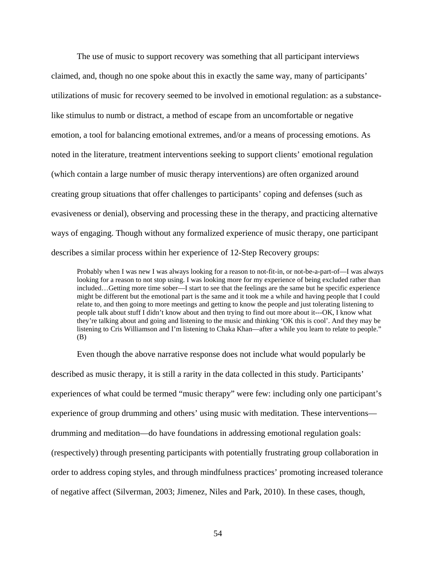The use of music to support recovery was something that all participant interviews claimed, and, though no one spoke about this in exactly the same way, many of participants' utilizations of music for recovery seemed to be involved in emotional regulation: as a substancelike stimulus to numb or distract, a method of escape from an uncomfortable or negative emotion, a tool for balancing emotional extremes, and/or a means of processing emotions. As noted in the literature, treatment interventions seeking to support clients' emotional regulation (which contain a large number of music therapy interventions) are often organized around creating group situations that offer challenges to participants' coping and defenses (such as evasiveness or denial), observing and processing these in the therapy, and practicing alternative ways of engaging. Though without any formalized experience of music therapy, one participant describes a similar process within her experience of 12-Step Recovery groups:

Probably when I was new I was always looking for a reason to not-fit-in, or not-be-a-part-of—I was always looking for a reason to not stop using. I was looking more for my experience of being excluded rather than included…Getting more time sober—I start to see that the feelings are the same but he specific experience might be different but the emotional part is the same and it took me a while and having people that I could relate to, and then going to more meetings and getting to know the people and just tolerating listening to people talk about stuff I didn't know about and then trying to find out more about it---OK, I know what they're talking about and going and listening to the music and thinking 'OK this is cool'. And they may be listening to Cris Williamson and I'm listening to Chaka Khan—after a while you learn to relate to people." (B)

Even though the above narrative response does not include what would popularly be described as music therapy, it is still a rarity in the data collected in this study. Participants' experiences of what could be termed "music therapy" were few: including only one participant's experience of group drumming and others' using music with meditation. These interventions drumming and meditation—do have foundations in addressing emotional regulation goals: (respectively) through presenting participants with potentially frustrating group collaboration in order to address coping styles, and through mindfulness practices' promoting increased tolerance of negative affect (Silverman, 2003; Jimenez, Niles and Park, 2010). In these cases, though,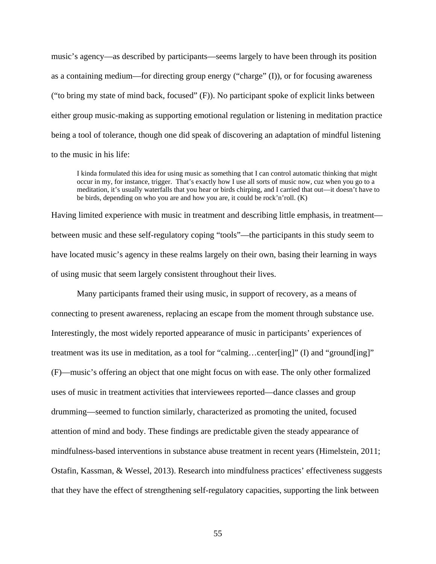music's agency—as described by participants—seems largely to have been through its position as a containing medium—for directing group energy ("charge" (I)), or for focusing awareness ("to bring my state of mind back, focused" (F)). No participant spoke of explicit links between either group music-making as supporting emotional regulation or listening in meditation practice being a tool of tolerance, though one did speak of discovering an adaptation of mindful listening to the music in his life:

I kinda formulated this idea for using music as something that I can control automatic thinking that might occur in my, for instance, trigger. That's exactly how I use all sorts of music now, cuz when you go to a meditation, it's usually waterfalls that you hear or birds chirping, and I carried that out—it doesn't have to be birds, depending on who you are and how you are, it could be rock'n'roll. (K)

Having limited experience with music in treatment and describing little emphasis, in treatment between music and these self-regulatory coping "tools"—the participants in this study seem to have located music's agency in these realms largely on their own, basing their learning in ways of using music that seem largely consistent throughout their lives.

Many participants framed their using music, in support of recovery, as a means of connecting to present awareness, replacing an escape from the moment through substance use. Interestingly, the most widely reported appearance of music in participants' experiences of treatment was its use in meditation, as a tool for "calming…center[ing]" (I) and "ground[ing]" (F)—music's offering an object that one might focus on with ease. The only other formalized uses of music in treatment activities that interviewees reported—dance classes and group drumming—seemed to function similarly, characterized as promoting the united, focused attention of mind and body. These findings are predictable given the steady appearance of mindfulness-based interventions in substance abuse treatment in recent years (Himelstein, 2011; Ostafin, Kassman, & Wessel, 2013). Research into mindfulness practices' effectiveness suggests that they have the effect of strengthening self-regulatory capacities, supporting the link between

55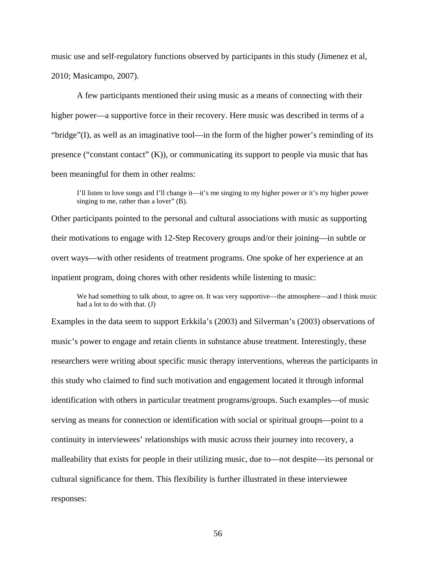music use and self-regulatory functions observed by participants in this study (Jimenez et al, 2010; Masicampo, 2007).

A few participants mentioned their using music as a means of connecting with their higher power—a supportive force in their recovery. Here music was described in terms of a "bridge"(I), as well as an imaginative tool—in the form of the higher power's reminding of its presence ("constant contact"  $(K)$ ), or communicating its support to people via music that has been meaningful for them in other realms:

I'll listen to love songs and I'll change it—it's me singing to my higher power or it's my higher power singing to me, rather than a lover" (B).

Other participants pointed to the personal and cultural associations with music as supporting their motivations to engage with 12-Step Recovery groups and/or their joining—in subtle or overt ways—with other residents of treatment programs. One spoke of her experience at an inpatient program, doing chores with other residents while listening to music:

We had something to talk about, to agree on. It was very supportive—the atmosphere—and I think music had a lot to do with that. (J)

Examples in the data seem to support Erkkila's (2003) and Silverman's (2003) observations of music's power to engage and retain clients in substance abuse treatment. Interestingly, these researchers were writing about specific music therapy interventions, whereas the participants in this study who claimed to find such motivation and engagement located it through informal identification with others in particular treatment programs/groups. Such examples—of music serving as means for connection or identification with social or spiritual groups—point to a continuity in interviewees' relationships with music across their journey into recovery, a malleability that exists for people in their utilizing music, due to—not despite—its personal or cultural significance for them. This flexibility is further illustrated in these interviewee responses: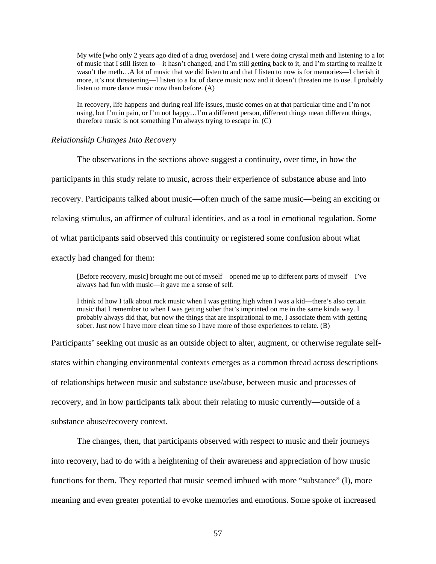My wife [who only 2 years ago died of a drug overdose] and I were doing crystal meth and listening to a lot of music that I still listen to—it hasn't changed, and I'm still getting back to it, and I'm starting to realize it wasn't the meth…A lot of music that we did listen to and that I listen to now is for memories—I cherish it more, it's not threatening—I listen to a lot of dance music now and it doesn't threaten me to use. I probably listen to more dance music now than before. (A)

In recovery, life happens and during real life issues, music comes on at that particular time and I'm not using, but I'm in pain, or I'm not happy…I'm a different person, different things mean different things, therefore music is not something I'm always trying to escape in. (C)

### *Relationship Changes Into Recovery*

The observations in the sections above suggest a continuity, over time, in how the participants in this study relate to music, across their experience of substance abuse and into recovery. Participants talked about music—often much of the same music—being an exciting or relaxing stimulus, an affirmer of cultural identities, and as a tool in emotional regulation. Some of what participants said observed this continuity or registered some confusion about what exactly had changed for them:

[Before recovery, music] brought me out of myself—opened me up to different parts of myself—I've always had fun with music—it gave me a sense of self.

I think of how I talk about rock music when I was getting high when I was a kid—there's also certain music that I remember to when I was getting sober that's imprinted on me in the same kinda way. I probably always did that, but now the things that are inspirational to me, I associate them with getting sober. Just now I have more clean time so I have more of those experiences to relate. (B)

Participants' seeking out music as an outside object to alter, augment, or otherwise regulate selfstates within changing environmental contexts emerges as a common thread across descriptions of relationships between music and substance use/abuse, between music and processes of recovery, and in how participants talk about their relating to music currently—outside of a substance abuse/recovery context.

The changes, then, that participants observed with respect to music and their journeys into recovery, had to do with a heightening of their awareness and appreciation of how music functions for them. They reported that music seemed imbued with more "substance" (I), more meaning and even greater potential to evoke memories and emotions. Some spoke of increased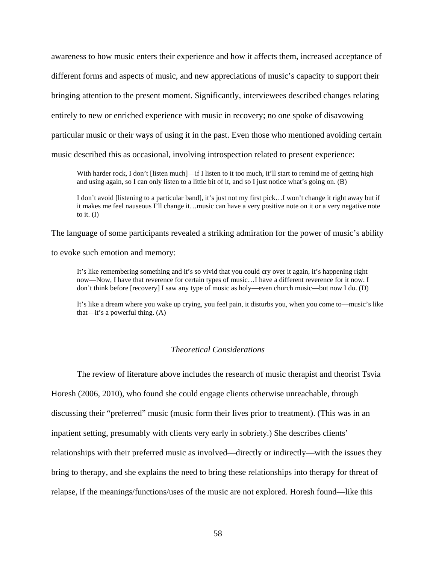awareness to how music enters their experience and how it affects them, increased acceptance of different forms and aspects of music, and new appreciations of music's capacity to support their bringing attention to the present moment. Significantly, interviewees described changes relating entirely to new or enriched experience with music in recovery; no one spoke of disavowing particular music or their ways of using it in the past. Even those who mentioned avoiding certain music described this as occasional, involving introspection related to present experience:

With harder rock, I don't [listen much]—if I listen to it too much, it'll start to remind me of getting high and using again, so I can only listen to a little bit of it, and so I just notice what's going on. (B)

I don't avoid [listening to a particular band], it's just not my first pick…I won't change it right away but if it makes me feel nauseous I'll change it…music can have a very positive note on it or a very negative note to it.  $(I)$ 

The language of some participants revealed a striking admiration for the power of music's ability

to evoke such emotion and memory:

It's like remembering something and it's so vivid that you could cry over it again, it's happening right now—Now, I have that reverence for certain types of music…I have a different reverence for it now. I don't think before [recovery] I saw any type of music as holy—even church music—but now I do. (D)

It's like a dream where you wake up crying, you feel pain, it disturbs you, when you come to—music's like that—it's a powerful thing. (A)

# *Theoretical Considerations*

The review of literature above includes the research of music therapist and theorist Tsvia Horesh (2006, 2010), who found she could engage clients otherwise unreachable, through discussing their "preferred" music (music form their lives prior to treatment). (This was in an inpatient setting, presumably with clients very early in sobriety.) She describes clients' relationships with their preferred music as involved—directly or indirectly—with the issues they bring to therapy, and she explains the need to bring these relationships into therapy for threat of relapse, if the meanings/functions/uses of the music are not explored. Horesh found—like this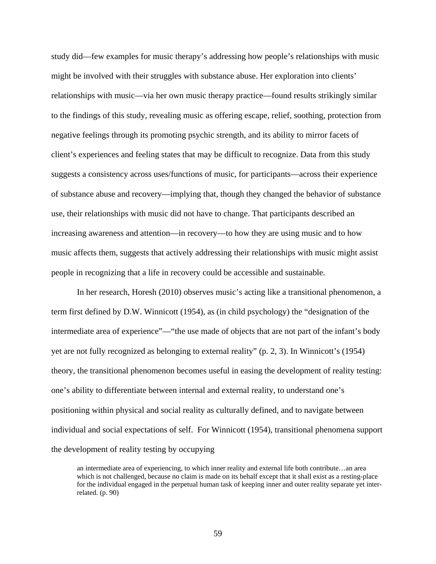study did—few examples for music therapy's addressing how people's relationships with music might be involved with their struggles with substance abuse. Her exploration into clients' relationships with music—via her own music therapy practice—found results strikingly similar to the findings of this study, revealing music as offering escape, relief, soothing, protection from negative feelings through its promoting psychic strength, and its ability to mirror facets of client's experiences and feeling states that may be difficult to recognize. Data from this study suggests a consistency across uses/functions of music, for participants—across their experience of substance abuse and recovery—implying that, though they changed the behavior of substance use, their relationships with music did not have to change. That participants described an increasing awareness and attention—in recovery—to how they are using music and to how music affects them, suggests that actively addressing their relationships with music might assist people in recognizing that a life in recovery could be accessible and sustainable.

In her research, Horesh (2010) observes music's acting like a transitional phenomenon, a term first defined by D.W. Winnicott (1954), as (in child psychology) the "designation of the intermediate area of experience"—"the use made of objects that are not part of the infant's body yet are not fully recognized as belonging to external reality" (p. 2, 3). In Winnicott's (1954) theory, the transitional phenomenon becomes useful in easing the development of reality testing: one's ability to differentiate between internal and external reality, to understand one's positioning within physical and social reality as culturally defined, and to navigate between individual and social expectations of self. For Winnicott (1954), transitional phenomena support the development of reality testing by occupying

an intermediate area of experiencing, to which inner reality and external life both contribute…an area which is not challenged, because no claim is made on its behalf except that it shall exist as a resting-place for the individual engaged in the perpetual human task of keeping inner and outer reality separate yet interrelated. (p. 90)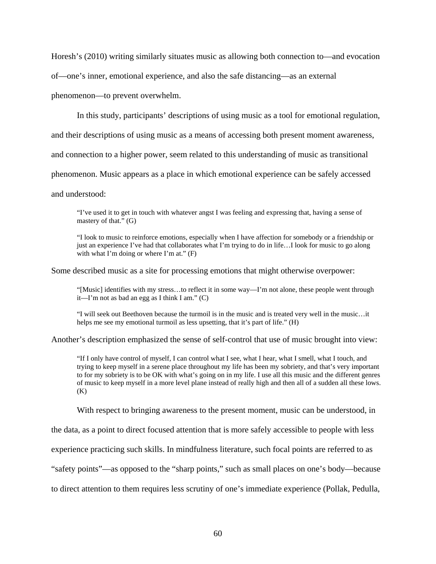Horesh's (2010) writing similarly situates music as allowing both connection to—and evocation

of—one's inner, emotional experience, and also the safe distancing—as an external

phenomenon—to prevent overwhelm.

In this study, participants' descriptions of using music as a tool for emotional regulation,

and their descriptions of using music as a means of accessing both present moment awareness,

and connection to a higher power, seem related to this understanding of music as transitional

phenomenon. Music appears as a place in which emotional experience can be safely accessed

and understood:

"I've used it to get in touch with whatever angst I was feeling and expressing that, having a sense of mastery of that." (G)

"I look to music to reinforce emotions, especially when I have affection for somebody or a friendship or just an experience I've had that collaborates what I'm trying to do in life…I look for music to go along with what I'm doing or where I'm at."  $(F)$ 

Some described music as a site for processing emotions that might otherwise overpower:

"[Music] identifies with my stress…to reflect it in some way—I'm not alone, these people went through it—I'm not as bad an egg as I think I am." (C)

"I will seek out Beethoven because the turmoil is in the music and is treated very well in the music…it helps me see my emotional turmoil as less upsetting, that it's part of life." (H)

Another's description emphasized the sense of self-control that use of music brought into view:

"If I only have control of myself, I can control what I see, what I hear, what I smell, what I touch, and trying to keep myself in a serene place throughout my life has been my sobriety, and that's very important to for my sobriety is to be OK with what's going on in my life. I use all this music and the different genres of music to keep myself in a more level plane instead of really high and then all of a sudden all these lows.  $(K)$ 

With respect to bringing awareness to the present moment, music can be understood, in

the data, as a point to direct focused attention that is more safely accessible to people with less

experience practicing such skills. In mindfulness literature, such focal points are referred to as

"safety points"—as opposed to the "sharp points," such as small places on one's body—because

to direct attention to them requires less scrutiny of one's immediate experience (Pollak, Pedulla,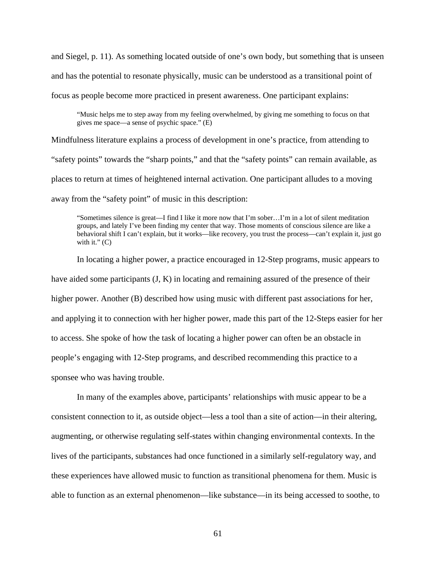and Siegel, p. 11). As something located outside of one's own body, but something that is unseen and has the potential to resonate physically, music can be understood as a transitional point of focus as people become more practiced in present awareness. One participant explains:

"Music helps me to step away from my feeling overwhelmed, by giving me something to focus on that gives me space—a sense of psychic space." (E)

Mindfulness literature explains a process of development in one's practice, from attending to "safety points" towards the "sharp points," and that the "safety points" can remain available, as places to return at times of heightened internal activation. One participant alludes to a moving away from the "safety point" of music in this description:

"Sometimes silence is great—I find I like it more now that I'm sober…I'm in a lot of silent meditation groups, and lately I've been finding my center that way. Those moments of conscious silence are like a behavioral shift I can't explain, but it works—like recovery, you trust the process—can't explain it, just go with it."  $(C)$ 

In locating a higher power, a practice encouraged in 12-Step programs, music appears to have aided some participants  $(J, K)$  in locating and remaining assured of the presence of their higher power. Another (B) described how using music with different past associations for her, and applying it to connection with her higher power, made this part of the 12-Steps easier for her to access. She spoke of how the task of locating a higher power can often be an obstacle in people's engaging with 12-Step programs, and described recommending this practice to a sponsee who was having trouble.

In many of the examples above, participants' relationships with music appear to be a consistent connection to it, as outside object—less a tool than a site of action—in their altering, augmenting, or otherwise regulating self-states within changing environmental contexts. In the lives of the participants, substances had once functioned in a similarly self-regulatory way, and these experiences have allowed music to function as transitional phenomena for them. Music is able to function as an external phenomenon—like substance—in its being accessed to soothe, to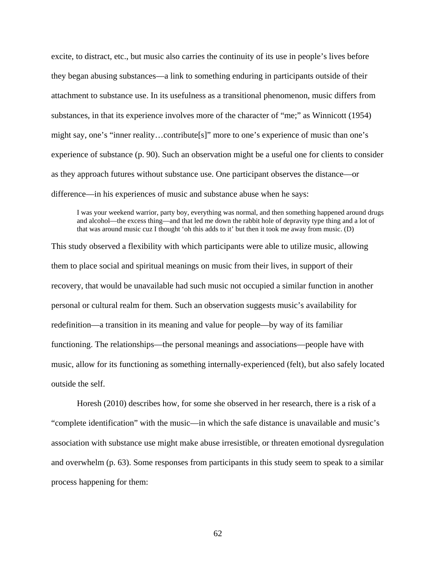excite, to distract, etc., but music also carries the continuity of its use in people's lives before they began abusing substances—a link to something enduring in participants outside of their attachment to substance use. In its usefulness as a transitional phenomenon, music differs from substances, in that its experience involves more of the character of "me;" as Winnicott (1954) might say, one's "inner reality…contribute[s]" more to one's experience of music than one's experience of substance (p. 90). Such an observation might be a useful one for clients to consider as they approach futures without substance use. One participant observes the distance—or difference—in his experiences of music and substance abuse when he says:

I was your weekend warrior, party boy, everything was normal, and then something happened around drugs and alcohol—the excess thing—and that led me down the rabbit hole of depravity type thing and a lot of that was around music cuz I thought 'oh this adds to it' but then it took me away from music. (D)

This study observed a flexibility with which participants were able to utilize music, allowing them to place social and spiritual meanings on music from their lives, in support of their recovery, that would be unavailable had such music not occupied a similar function in another personal or cultural realm for them. Such an observation suggests music's availability for redefinition—a transition in its meaning and value for people—by way of its familiar functioning. The relationships—the personal meanings and associations—people have with music, allow for its functioning as something internally-experienced (felt), but also safely located outside the self.

Horesh (2010) describes how, for some she observed in her research, there is a risk of a "complete identification" with the music—in which the safe distance is unavailable and music's association with substance use might make abuse irresistible, or threaten emotional dysregulation and overwhelm (p. 63). Some responses from participants in this study seem to speak to a similar process happening for them: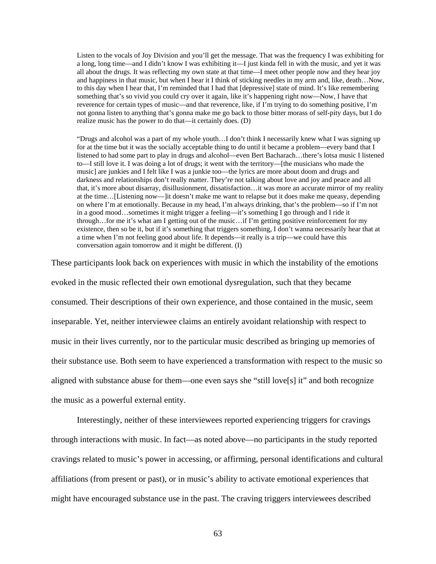Listen to the vocals of Joy Division and you'll get the message. That was the frequency I was exhibiting for a long, long time—and I didn't know I was exhibiting it—I just kinda fell in with the music, and yet it was all about the drugs. It was reflecting my own state at that time—I meet other people now and they hear joy and happiness in that music, but when I hear it I think of sticking needles in my arm and, like, death…Now, to this day when I hear that, I'm reminded that I had that [depressive] state of mind. It's like remembering something that's so vivid you could cry over it again, like it's happening right now—Now, I have that reverence for certain types of music—and that reverence, like, if I'm trying to do something positive, I'm not gonna listen to anything that's gonna make me go back to those bitter morass of self-pity days, but I do realize music has the power to do that—it certainly does. (D)

"Drugs and alcohol was a part of my whole youth…I don't think I necessarily knew what I was signing up for at the time but it was the socially acceptable thing to do until it became a problem—every band that I listened to had some part to play in drugs and alcohol—even Bert Bacharach…there's lotsa music I listened to—I still love it. I was doing a lot of drugs; it went with the territory—[the musicians who made the music] are junkies and I felt like I was a junkie too—the lyrics are more about doom and drugs and darkness and relationships don't really matter. They're not talking about love and joy and peace and all that, it's more about disarray, disillusionment, dissatisfaction…it was more an accurate mirror of my reality at the time…[Listening now—]it doesn't make me want to relapse but it does make me queasy, depending on where I'm at emotionally. Because in my head, I'm always drinking, that's the problem—so if I'm not in a good mood…sometimes it might trigger a feeling—it's something I go through and I ride it through…for me it's what am I getting out of the music…if I'm getting positive reinforcement for my existence, then so be it, but if it's something that triggers something, I don't wanna necessarily hear that at a time when I'm not feeling good about life. It depends—it really is a trip—we could have this conversation again tomorrow and it might be different. (I)

These participants look back on experiences with music in which the instability of the emotions

evoked in the music reflected their own emotional dysregulation, such that they became consumed. Their descriptions of their own experience, and those contained in the music, seem inseparable. Yet, neither interviewee claims an entirely avoidant relationship with respect to music in their lives currently, nor to the particular music described as bringing up memories of their substance use. Both seem to have experienced a transformation with respect to the music so aligned with substance abuse for them—one even says she "still love[s] it" and both recognize the music as a powerful external entity.

Interestingly, neither of these interviewees reported experiencing triggers for cravings through interactions with music. In fact—as noted above—no participants in the study reported cravings related to music's power in accessing, or affirming, personal identifications and cultural affiliations (from present or past), or in music's ability to activate emotional experiences that might have encouraged substance use in the past. The craving triggers interviewees described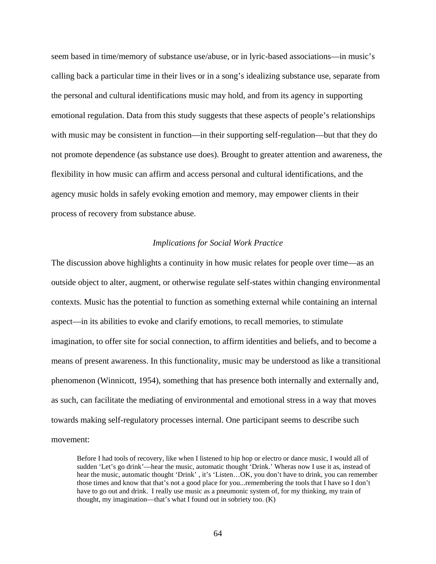seem based in time/memory of substance use/abuse, or in lyric-based associations—in music's calling back a particular time in their lives or in a song's idealizing substance use, separate from the personal and cultural identifications music may hold, and from its agency in supporting emotional regulation. Data from this study suggests that these aspects of people's relationships with music may be consistent in function—in their supporting self-regulation—but that they do not promote dependence (as substance use does). Brought to greater attention and awareness, the flexibility in how music can affirm and access personal and cultural identifications, and the agency music holds in safely evoking emotion and memory, may empower clients in their process of recovery from substance abuse.

## *Implications for Social Work Practice*

The discussion above highlights a continuity in how music relates for people over time—as an outside object to alter, augment, or otherwise regulate self-states within changing environmental contexts. Music has the potential to function as something external while containing an internal aspect—in its abilities to evoke and clarify emotions, to recall memories, to stimulate imagination, to offer site for social connection, to affirm identities and beliefs, and to become a means of present awareness. In this functionality, music may be understood as like a transitional phenomenon (Winnicott, 1954), something that has presence both internally and externally and, as such, can facilitate the mediating of environmental and emotional stress in a way that moves towards making self-regulatory processes internal. One participant seems to describe such movement:

Before I had tools of recovery, like when I listened to hip hop or electro or dance music, I would all of sudden 'Let's go drink'—hear the music, automatic thought 'Drink.' Wheras now I use it as, instead of hear the music, automatic thought 'Drink', it's 'Listen...OK, you don't have to drink, you can remember those times and know that that's not a good place for you...remembering the tools that I have so I don't have to go out and drink. I really use music as a pneumonic system of, for my thinking, my train of thought, my imagination—that's what I found out in sobriety too. (K)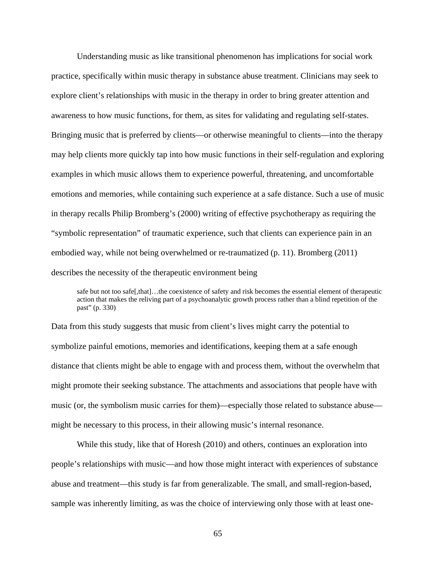Understanding music as like transitional phenomenon has implications for social work practice, specifically within music therapy in substance abuse treatment. Clinicians may seek to explore client's relationships with music in the therapy in order to bring greater attention and awareness to how music functions, for them, as sites for validating and regulating self-states. Bringing music that is preferred by clients—or otherwise meaningful to clients—into the therapy may help clients more quickly tap into how music functions in their self-regulation and exploring examples in which music allows them to experience powerful, threatening, and uncomfortable emotions and memories, while containing such experience at a safe distance. Such a use of music in therapy recalls Philip Bromberg's (2000) writing of effective psychotherapy as requiring the "symbolic representation" of traumatic experience, such that clients can experience pain in an embodied way, while not being overwhelmed or re-traumatized (p. 11). Bromberg (2011) describes the necessity of the therapeutic environment being

safe but not too safe[,that]...the coexistence of safety and risk becomes the essential element of therapeutic action that makes the reliving part of a psychoanalytic growth process rather than a blind repetition of the past" (p. 330)

Data from this study suggests that music from client's lives might carry the potential to symbolize painful emotions, memories and identifications, keeping them at a safe enough distance that clients might be able to engage with and process them, without the overwhelm that might promote their seeking substance. The attachments and associations that people have with music (or, the symbolism music carries for them)—especially those related to substance abuse might be necessary to this process, in their allowing music's internal resonance.

While this study, like that of Horesh (2010) and others, continues an exploration into people's relationships with music—and how those might interact with experiences of substance abuse and treatment—this study is far from generalizable. The small, and small-region-based, sample was inherently limiting, as was the choice of interviewing only those with at least one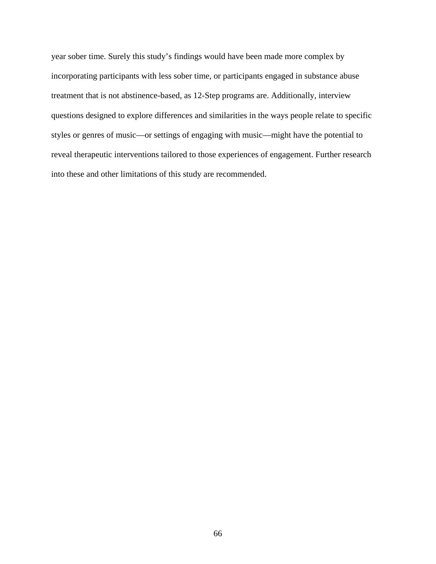year sober time. Surely this study's findings would have been made more complex by incorporating participants with less sober time, or participants engaged in substance abuse treatment that is not abstinence-based, as 12-Step programs are. Additionally, interview questions designed to explore differences and similarities in the ways people relate to specific styles or genres of music—or settings of engaging with music—might have the potential to reveal therapeutic interventions tailored to those experiences of engagement. Further research into these and other limitations of this study are recommended.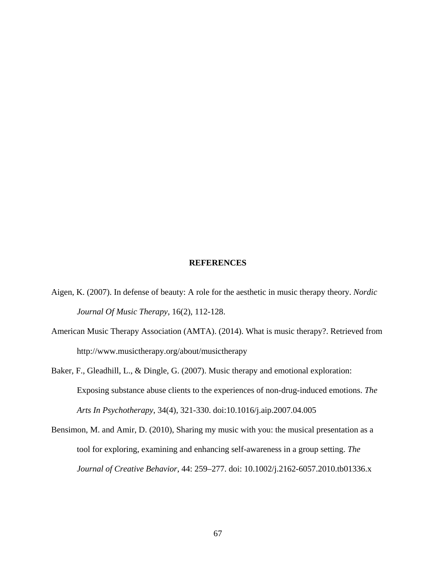# **REFERENCES**

- Aigen, K. (2007). In defense of beauty: A role for the aesthetic in music therapy theory. *Nordic Journal Of Music Therapy*, 16(2), 112-128.
- American Music Therapy Association (AMTA). (2014). What is music therapy?. Retrieved from http://www.musictherapy.org/about/musictherapy
- Baker, F., Gleadhill, L., & Dingle, G. (2007). Music therapy and emotional exploration: Exposing substance abuse clients to the experiences of non-drug-induced emotions. *The Arts In Psychotherapy*, 34(4), 321-330. doi:10.1016/j.aip.2007.04.005
- Bensimon, M. and Amir, D. (2010), Sharing my music with you: the musical presentation as a tool for exploring, examining and enhancing self-awareness in a group setting. *The Journal of Creative Behavior*, 44: 259–277. doi: 10.1002/j.2162-6057.2010.tb01336.x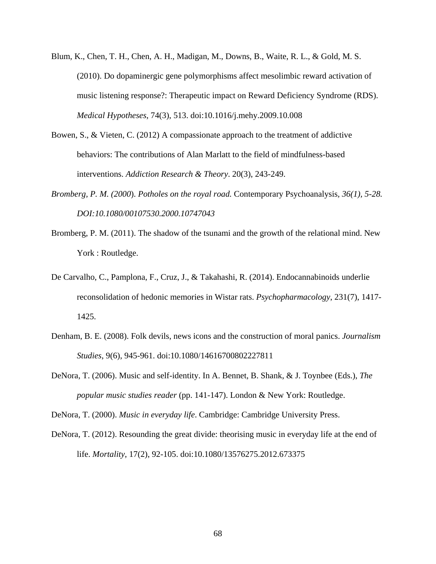- Blum, K., Chen, T. H., Chen, A. H., Madigan, M., Downs, B., Waite, R. L., & Gold, M. S. (2010). Do dopaminergic gene polymorphisms affect mesolimbic reward activation of music listening response?: Therapeutic impact on Reward Deficiency Syndrome (RDS). *Medical Hypotheses*, 74(3), 513. doi:10.1016/j.mehy.2009.10.008
- Bowen, S., & Vieten, C. (2012) A compassionate approach to the treatment of addictive behaviors: The contributions of Alan Marlatt to the field of mindfulness-based interventions. *Addiction Research & Theory*. 20(3), 243-249.
- *Bromberg, P. M. (2000*). *Potholes on the royal road.* Contemporary Psychoanalysis*, 36(1), 5-28. DOI:10.1080/00107530.2000.10747043*
- Bromberg, P. M. (2011). The shadow of the tsunami and the growth of the relational mind. New York : Routledge.
- De Carvalho, C., Pamplona, F., Cruz, J., & Takahashi, R. (2014). Endocannabinoids underlie reconsolidation of hedonic memories in Wistar rats. *Psychopharmacology*, 231(7), 1417- 1425.
- Denham, B. E. (2008). Folk devils, news icons and the construction of moral panics. *Journalism Studies*, 9(6), 945-961. doi:10.1080/14616700802227811
- DeNora, T. (2006). Music and self-identity. In A. Bennet, B. Shank, & J. Toynbee (Eds.), *The popular music studies reader* (pp. 141-147). London & New York: Routledge.

DeNora, T. (2000). *Music in everyday life*. Cambridge: Cambridge University Press.

DeNora, T. (2012). Resounding the great divide: theorising music in everyday life at the end of life. *Mortality*, 17(2), 92-105. doi:10.1080/13576275.2012.673375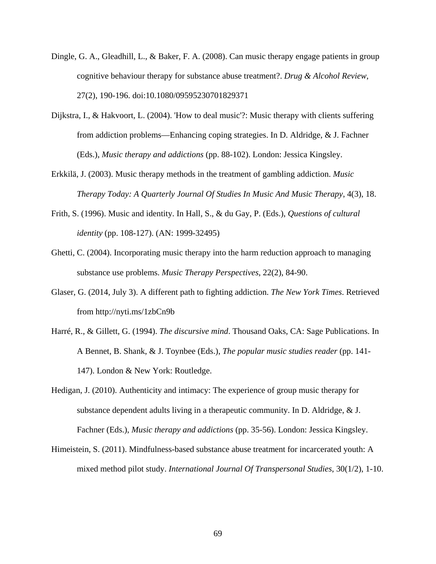- Dingle, G. A., Gleadhill, L., & Baker, F. A. (2008). Can music therapy engage patients in group cognitive behaviour therapy for substance abuse treatment?. *Drug & Alcohol Review*, 27(2), 190-196. doi:10.1080/09595230701829371
- Dijkstra, I., & Hakvoort, L. (2004). 'How to deal music'?: Music therapy with clients suffering from addiction problems—Enhancing coping strategies. In D. Aldridge, & J. Fachner (Eds.), *Music therapy and addictions* (pp. 88-102). London: Jessica Kingsley.
- Erkkilä, J. (2003). Music therapy methods in the treatment of gambling addiction. *Music Therapy Today: A Quarterly Journal Of Studies In Music And Music Therapy*, 4(3), 18.
- Frith, S. (1996). Music and identity. In Hall, S., & du Gay, P. (Eds.), *Questions of cultural identity* (pp. 108-127). (AN: 1999-32495)
- Ghetti, C. (2004). Incorporating music therapy into the harm reduction approach to managing substance use problems. *Music Therapy Perspectives*, 22(2), 84-90.
- Glaser, G. (2014, July 3). A different path to fighting addiction. *The New York Times*. Retrieved from http://nyti.ms/1zbCn9b
- Harré, R., & Gillett, G. (1994). *The discursive mind*. Thousand Oaks, CA: Sage Publications. In A Bennet, B. Shank, & J. Toynbee (Eds.), *The popular music studies reader* (pp. 141- 147). London & New York: Routledge.
- Hedigan, J. (2010). Authenticity and intimacy: The experience of group music therapy for substance dependent adults living in a therapeutic community. In D. Aldridge, & J. Fachner (Eds.), *Music therapy and addictions* (pp. 35-56). London: Jessica Kingsley.
- Himeistein, S. (2011). Mindfulness-based substance abuse treatment for incarcerated youth: A mixed method pilot study. *International Journal Of Transpersonal Studies*, 30(1/2), 1-10.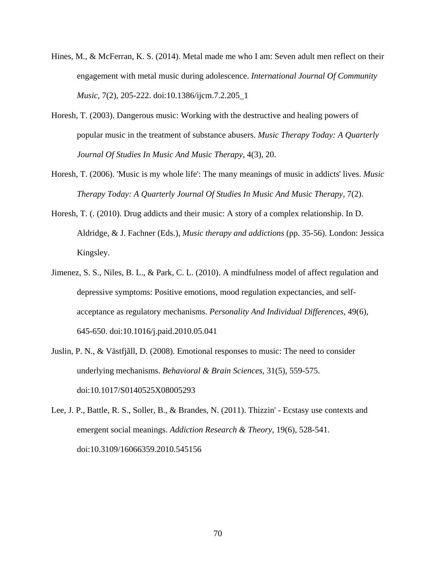- Hines, M., & McFerran, K. S. (2014). Metal made me who I am: Seven adult men reflect on their engagement with metal music during adolescence. *International Journal Of Community Music*, 7(2), 205-222. doi:10.1386/ijcm.7.2.205\_1
- Horesh, T. (2003). Dangerous music: Working with the destructive and healing powers of popular music in the treatment of substance abusers. *Music Therapy Today: A Quarterly Journal Of Studies In Music And Music Therapy*, 4(3), 20.
- Horesh, T. (2006). 'Music is my whole life': The many meanings of music in addicts' lives. *Music Therapy Today: A Quarterly Journal Of Studies In Music And Music Therapy*, 7(2).
- Horesh, T. (. (2010). Drug addicts and their music: A story of a complex relationship. In D. Aldridge, & J. Fachner (Eds.), *Music therapy and addictions* (pp. 35-56). London: Jessica Kingsley.
- Jimenez, S. S., Niles, B. L., & Park, C. L. (2010). A mindfulness model of affect regulation and depressive symptoms: Positive emotions, mood regulation expectancies, and selfacceptance as regulatory mechanisms. *Personality And Individual Differences*, 49(6), 645-650. doi:10.1016/j.paid.2010.05.041
- Juslin, P. N., & Västfjãll, D. (2008). Emotional responses to music: The need to consider underlying mechanisms. *Behavioral & Brain Sciences*, 31(5), 559-575. doi:10.1017/S0140525X08005293
- Lee, J. P., Battle, R. S., Soller, B., & Brandes, N. (2011). Thizzin' Ecstasy use contexts and emergent social meanings. *Addiction Research & Theory*, 19(6), 528-541. doi:10.3109/16066359.2010.545156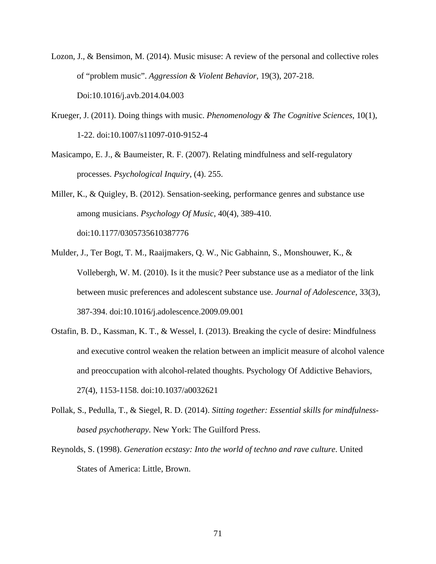- Lozon, J., & Bensimon, M. (2014). Music misuse: A review of the personal and collective roles of "problem music". *Aggression & Violent Behavior*, 19(3), 207-218. Doi:10.1016/j.avb.2014.04.003
- Krueger, J. (2011). Doing things with music. *Phenomenology & The Cognitive Sciences*, 10(1), 1-22. doi:10.1007/s11097-010-9152-4
- Masicampo, E. J., & Baumeister, R. F. (2007). Relating mindfulness and self-regulatory processes. *Psychological Inquiry*, (4). 255.

Miller, K., & Quigley, B. (2012). Sensation-seeking, performance genres and substance use among musicians. *Psychology Of Music*, 40(4), 389-410. doi:10.1177/0305735610387776

- Mulder, J., Ter Bogt, T. M., Raaijmakers, Q. W., Nic Gabhainn, S., Monshouwer, K., & Vollebergh, W. M. (2010). Is it the music? Peer substance use as a mediator of the link between music preferences and adolescent substance use. *Journal of Adolescence*, 33(3), 387-394. doi:10.1016/j.adolescence.2009.09.001
- Ostafin, B. D., Kassman, K. T., & Wessel, I. (2013). Breaking the cycle of desire: Mindfulness and executive control weaken the relation between an implicit measure of alcohol valence and preoccupation with alcohol-related thoughts. Psychology Of Addictive Behaviors, 27(4), 1153-1158. doi:10.1037/a0032621
- Pollak, S., Pedulla, T., & Siegel, R. D. (2014). *Sitting together: Essential skills for mindfulnessbased psychotherapy*. New York: The Guilford Press.
- Reynolds, S. (1998). *Generation ecstasy: Into the world of techno and rave culture*. United States of America: Little, Brown.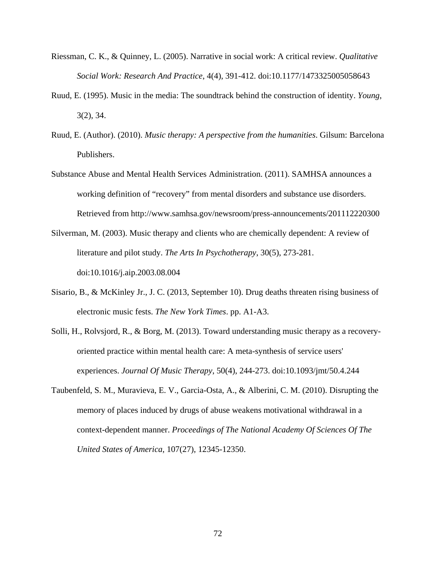- Riessman, C. K., & Quinney, L. (2005). Narrative in social work: A critical review. *Qualitative Social Work: Research And Practice*, 4(4), 391-412. doi:10.1177/1473325005058643
- Ruud, E. (1995). Music in the media: The soundtrack behind the construction of identity. *Young*, 3(2), 34.
- Ruud, E. (Author). (2010). *Music therapy: A perspective from the humanities*. Gilsum: Barcelona Publishers.
- Substance Abuse and Mental Health Services Administration. (2011). SAMHSA announces a working definition of "recovery" from mental disorders and substance use disorders. Retrieved from http://www.samhsa.gov/newsroom/press-announcements/201112220300
- Silverman, M. (2003). Music therapy and clients who are chemically dependent: A review of literature and pilot study. *The Arts In Psychotherapy*, 30(5), 273-281. doi:10.1016/j.aip.2003.08.004
- Sisario, B., & McKinley Jr., J. C. (2013, September 10). Drug deaths threaten rising business of electronic music fests. *The New York Times*. pp. A1-A3.
- Solli, H., Rolvsjord, R., & Borg, M. (2013). Toward understanding music therapy as a recoveryoriented practice within mental health care: A meta-synthesis of service users' experiences. *Journal Of Music Therapy*, 50(4), 244-273. doi:10.1093/jmt/50.4.244
- Taubenfeld, S. M., Muravieva, E. V., Garcia-Osta, A., & Alberini, C. M. (2010). Disrupting the memory of places induced by drugs of abuse weakens motivational withdrawal in a context-dependent manner. *Proceedings of The National Academy Of Sciences Of The United States of America*, 107(27), 12345-12350.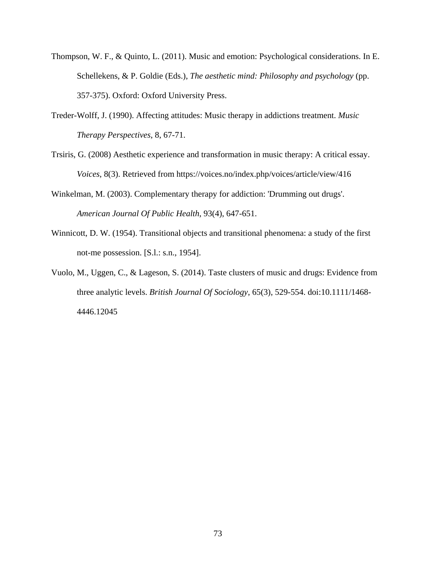- Thompson, W. F., & Quinto, L. (2011). Music and emotion: Psychological considerations. In E. Schellekens, & P. Goldie (Eds.), *The aesthetic mind: Philosophy and psychology* (pp. 357-375). Oxford: Oxford University Press.
- Treder-Wolff, J. (1990). Affecting attitudes: Music therapy in addictions treatment. *Music Therapy Perspectives*, 8, 67-71.
- Trsiris, G. (2008) Aesthetic experience and transformation in music therapy: A critical essay. *Voices*, 8(3). Retrieved from https://voices.no/index.php/voices/article/view/416
- Winkelman, M. (2003). Complementary therapy for addiction: 'Drumming out drugs'. *American Journal Of Public Health*, 93(4), 647-651.
- Winnicott, D. W. (1954). Transitional objects and transitional phenomena: a study of the first not-me possession. [S.l.: s.n., 1954].
- Vuolo, M., Uggen, C., & Lageson, S. (2014). Taste clusters of music and drugs: Evidence from three analytic levels. *British Journal Of Sociology*, 65(3), 529-554. doi:10.1111/1468- 4446.12045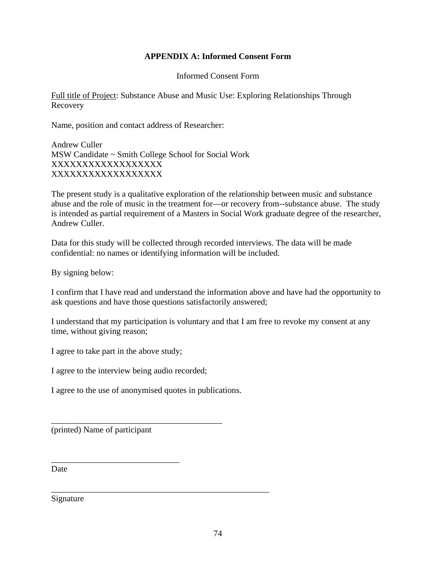## **APPENDIX A: Informed Consent Form**

Informed Consent Form

Full title of Project: Substance Abuse and Music Use: Exploring Relationships Through Recovery

Name, position and contact address of Researcher:

Andrew Culler MSW Candidate ~ Smith College School for Social Work XXXXXXXXXXXXXXXXXX XXXXXXXXXXXXXXXXXX

The present study is a qualitative exploration of the relationship between music and substance abuse and the role of music in the treatment for—or recovery from--substance abuse. The study is intended as partial requirement of a Masters in Social Work graduate degree of the researcher, Andrew Culler.

Data for this study will be collected through recorded interviews. The data will be made confidential: no names or identifying information will be included.

By signing below:

I confirm that I have read and understand the information above and have had the opportunity to ask questions and have those questions satisfactorily answered;

I understand that my participation is voluntary and that I am free to revoke my consent at any time, without giving reason;

I agree to take part in the above study;

I agree to the interview being audio recorded;

I agree to the use of anonymised quotes in publications.

\_\_\_\_\_\_\_\_\_\_\_\_\_\_\_\_\_\_\_\_\_\_\_\_\_\_\_\_\_\_\_\_\_\_\_\_\_\_\_\_\_\_\_\_\_\_\_\_\_\_\_

\_\_\_\_\_\_\_\_\_\_\_\_\_\_\_\_\_\_\_\_\_\_\_\_\_\_\_\_\_\_\_\_\_\_\_\_\_\_\_\_

(printed) Name of participant

\_\_\_\_\_\_\_\_\_\_\_\_\_\_\_\_\_\_\_\_\_\_\_\_\_\_\_\_\_\_

**Date** 

Signature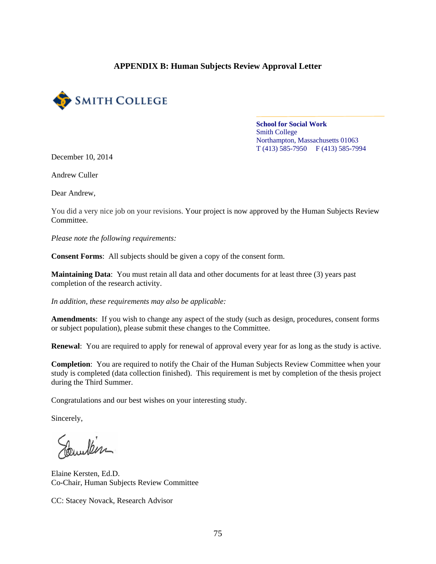## **APPENDIX B: Human Subjects Review Approval Letter**



## **School for Social Work**  Smith College Northampton, Massachusetts 01063  $T(413)$  585-7950 F (413) 585-7994

December 10, 2014

Andrew Culler

Dear Andrew,

You did a very nice job on your revisions. Your project is now approved by the Human Subjects Review Committee.

*Please note the following requirements:* 

**Consent Forms**: All subjects should be given a copy of the consent form.

**Maintaining Data**: You must retain all data and other documents for at least three (3) years past completion of the research activity.

*In addition, these requirements may also be applicable:* 

**Amendments**: If you wish to change any aspect of the study (such as design, procedures, consent forms or subject population), please submit these changes to the Committee.

**Renewal**: You are required to apply for renewal of approval every year for as long as the study is active.

**Completion**: You are required to notify the Chair of the Human Subjects Review Committee when your study is completed (data collection finished). This requirement is met by completion of the thesis project during the Third Summer.

Congratulations and our best wishes on your interesting study.

Sincerely,

town 16m

Elaine Kersten, Ed.D. Co-Chair, Human Subjects Review Committee

CC: Stacey Novack, Research Advisor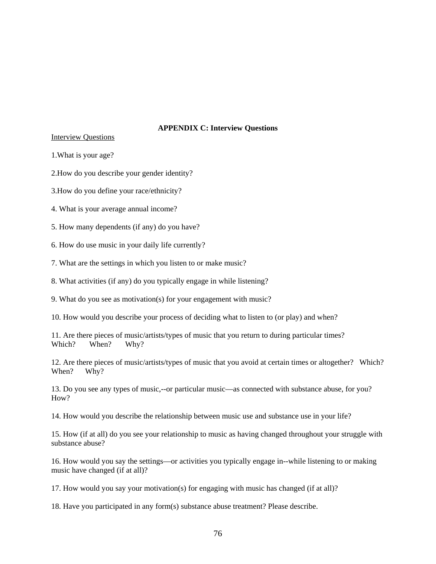## **APPENDIX C: Interview Questions**

Interview Questions

1.What is your age?

2.How do you describe your gender identity?

3.How do you define your race/ethnicity?

4. What is your average annual income?

5. How many dependents (if any) do you have?

6. How do use music in your daily life currently?

7. What are the settings in which you listen to or make music?

8. What activities (if any) do you typically engage in while listening?

9. What do you see as motivation(s) for your engagement with music?

10. How would you describe your process of deciding what to listen to (or play) and when?

11. Are there pieces of music/artists/types of music that you return to during particular times? Which? When? Why?

12. Are there pieces of music/artists/types of music that you avoid at certain times or altogether? Which? When? Why?

13. Do you see any types of music,--or particular music—as connected with substance abuse, for you? How?

14. How would you describe the relationship between music use and substance use in your life?

15. How (if at all) do you see your relationship to music as having changed throughout your struggle with substance abuse?

16. How would you say the settings—or activities you typically engage in--while listening to or making music have changed (if at all)?

17. How would you say your motivation(s) for engaging with music has changed (if at all)?

18. Have you participated in any form(s) substance abuse treatment? Please describe.